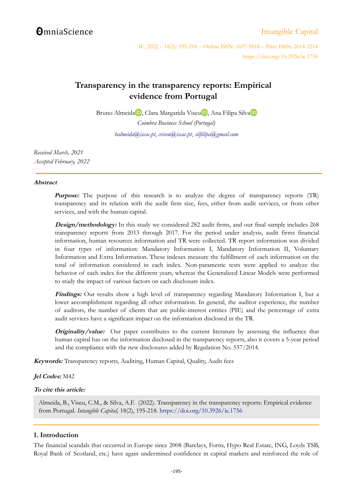# **OmniaScience**

## [Intangible Capital](http://www.intangiblecapital.org/)

IC, 2022 – 18(2): 195-218 – Online ISSN: 1697-9818 – Print ISSN: 2014-3214 https://doi.org/10.3926/ic.1756

# **Transparency in the transparency reports: Empirical evidence from Portugal**

Bruno Almeida<sup>i</sup> D[,](https://orcid.org/0000-0001-9276-091X) Clara Margarida Vise[u](https://orcid.org/0000-0001-9906-276X) D, An[a](https://orcid.org/0000-0002-9396-0101) Filipa Silva<sup>i</sup> D *Coimbra Business School (Portugal)*

*[balmeida@iscac.pt](mailto:balmeida@iscac.pt)*, *[cviseu@iscac.pt](mailto:cviseu@iscac.pt)*, *[silfilipa@gmail.com](mailto:silfilipa@gmail.com)*

*Received March, 2021 Accepted February, 2022* 

### **Abstract**

**Purpose:** The purpose of this research is to analyze the degree of transparency reports (TR) transparency and its relation with the audit firm size, fees, either from audit services, or from other services, and with the human capital.

**Design/methodology:** In this study we considered 282 audit firms, and our final sample includes 268 transparency reports from 2013 through 2017. For the period under analysis, audit firms financial information, human resources information and TR were collected. TR report information was divided in four types of information: Mandatory Information I, Mandatory Information II, Voluntary Information and Extra Information. These indexes measure the fulfillment of each information on the total of information considered in each index. Non-parametric tests were applied to analyze the behavior of each index for the different years, whereas the Generalized Linear Models were performed to study the impact of various factors on each disclosure index.

**Findings:** Our results show a high level of transparency regarding Mandatory Information I, but a lower accomplishment regarding all other information. In general, the auditor experience, the number of auditors, the number of clients that are public-interest entities (PIE) and the percentage of extra audit services have a significant impact on the information disclosed in the TR.

**Originality/value:** Our paper contributes to the current literature by assessing the influence that human capital has on the information disclosed in the transparency reports, also it covers a 5-year period and the compliance with the new disclosures added by Regulation No. 537/2014.

**Keywords:** Transparency reports, Auditing, Human Capital, Quality, Audit fees

## **Jel Codes:** M42

### **To cite this article:**

Almeida, B., Viseu, C.M., & Silva, A.F. (2022). Transparency in the transparency reports: Empirical evidence from Portugal. *Intangible Capital,* 18(2), 195-218.<https://doi.org/10.3926/ic.1756>

## **1. Introduction**

The financial scandals that occurred in Europe since 2008 (Barclays, Fortis, Hypo Real Estate, ING, Loyds TSB, Royal Bank of Scotland, etc.) have again undermined confidence in capital markets and reinforced the role of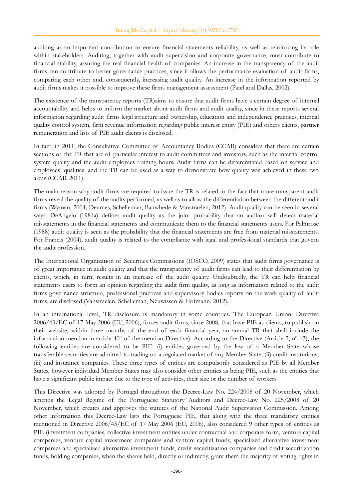auditing as an important contribution to ensure financial statements reliability, as well as reinforcing its role within stakeholders. Auditing, together with audit supervision and corporate governance, must contribute to financial stability, assuring the real financial health of companies. An increase in the transparency of the audit firms can contribute to better governance practices, since it allows the performance evaluation of audit firms, comparing each other and, consequently, increasing audit quality. An increase in the information reported by audit firms makes it possible to improve these firms management assessment (Patel and Dallas, 2002).

The existence of the transparency reports (TR)aims to ensure that audit firms have a certain degree of internal accountability and helps to inform the market about audit firms and audit quality, since in these reports several information regarding audit firms legal structure and ownership, education and independence practices, internal quality control system, firm revenue information regarding public interest entity (PIE) and others clients, partner remuneration and lists of PIE audit clients is disclosed.

In fact, in 2011, the Consultative Committee of Accountancy Bodies (CCAB) considers that there are certain sections of the TR that are of particular interest to audit committees and investors, such as the internal control system quality and the audit employees training hours. Audit firms can be differentiated based on service and employees' qualities, and the TR can be used as a way to demonstrate how quality was achieved in these two areas (CCAB, 2011).

The main reason why audit firms are required to issue the TR is related to the fact that more transparent audit firms reveal the quality of the audits performed, as well as to allow the differentiation between the different audit firms (Wyman, 2004; Deumes, Schelleman, Bauwhede & Vanstraelen, 2012). Audit quality can be seen in several ways. DeAngelo (1981a) defines audit quality as the joint probability that an auditor will detect material misstatements in the financial statements and communicate them to the financial statements users. For Palmrose (1988) audit quality is seen as the probability that the financial statements are free from material misstatements. For Francis (2004), audit quality is related to the compliance with legal and professional standards that govern the audit profession.

The International Organization of Securities Commissions (IOSCO, 2009) states that audit firms governance is of great importance in audit quality and that the transparency of audit firms can lead to their differentiation by clients, which, in turn, results in an increase of the audit quality. Undoubtedly, the TR can help financial statements users to form an opinion regarding the audit firm quality, as long as information related to the audit firms governance structure, professional practices and supervisory bodies reports on the work quality of audit firms, are disclosed (Vanstraelen, Schelleman, Neuwissen & Hofmann, 2012).

In an international level, TR disclosure is mandatory in some countries. The European Union, Directive 2006/43/EC of 17 May 2006 (EU, 2006), forces audit firms, since 2008, that have PIE as clients, to publish on their website, within three months of the end of each financial year, an annual TR that shall include the information mention in article 40 $^{\circ}$  of the mention Directive). According to the Directive (Article 2, n $^{\circ}$  13), the following entities are considered to be PIE: (i) entities governed by the law of a Member State whose transferable securities are admitted to trading on a regulated market of any Member State; (ii) credit institutions; (iii) and insurance companies. These three types of entities are compulsorily considered as PIE by all Member States, however individual Member States may also consider other entities as being PIE, such as the entities that have a significant public impact due to the type of activities, their size or the number of workers.

This Directive was adopted by Portugal throughout the Decree-Law No. 224/2008 of 20 November, which amends the Legal Regime of the Portuguese Statutory Auditors and Decree-Law No. 225/2008 of 20 November, which creates and approves the statutes of the National Audit Supervision Commission. Among other information this Decree-Law lists the Portuguese PIE, that along with the three mandatory entities mentioned in Directive 2006/43/EC of 17 May 2006 (EU, 2006), also considered 9 other types of entities as PIE (investment companies, collective investment entities under contractual and corporate form, venture capital companies, venture capital investment companies and venture capital funds, specialized alternative investment companies and specialized alternative investment funds, credit securitization companies and credit securitization funds, holding companies, when the shares held, directly or indirectly, grant them the majority of voting rights in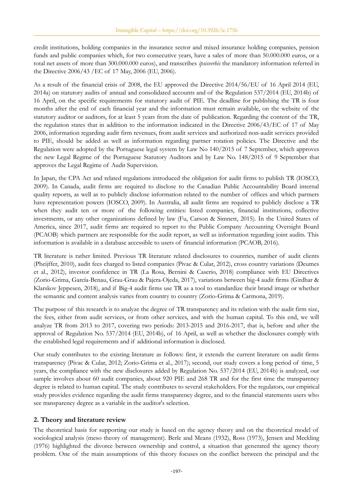credit institutions, holding companies in the insurance sector and mixed insurance holding companies, pension funds and public companies which, for two consecutive years, have a sales of more than 50.000.000 euros, or a total net assets of more than 300.000.000 euros), and transcribes *ipsisverbis* the mandatory information referred in the Directive 2006/43 /EC of 17 May, 2006 (EU, 2006).

As a result of the financial crisis of 2008, the EU approved the Directive 2014/56/EU of 16 April 2014 (EU, 2014a) on statutory audits of annual and consolidated accounts and of the Regulation 537/2014 (EU, 2014b) of 16 April, on the specific requirements for statutory audit of PIE. The deadline for publishing the TR is four months after the end of each financial year and the information must remain available, on the website of the statutory auditor or auditors, for at least 5 years from the date of publication. Regarding the content of the TR, the regulation states that in addition to the information indicated in the Directive 2006/43/EC of 17 of May 2006, information regarding audit firm revenues, from audit services and authorized non-audit services provided to PIE, should be added as well as information regarding partner rotation policies. The Directive and the Regulation were adopted by the Portuguese legal system by Law No 140/2015 of 7 September, which approves the new Legal Regime of the Portuguese Statutory Auditors and by Law No. 148/2015 of 9 September that approves the Legal Regime of Audit Supervision.

In Japan, the CPA Act and related regulations introduced the obligation for audit firms to publish TR (IOSCO, 2009). In Canada, audit firms are required to disclose to the Canadian Public Accountability Board internal quality reports, as well as to publicly disclose information related to the number of offices and which partners have representation powers (IOSCO, 2009). In Australia, all audit firms are required to publicly disclose a TR when they audit ten or more of the following entities: listed companies, financial institutions, collective investments, or any other organizations defined by law (Fu, Carson & Simnett, 2015). In the United States of America, since 2017, audit firms are required to report to the Public Company Accounting Oversight Board (PCAOB) which partners are responsible for the audit report, as well as information regarding joint audits. This information is available in a database accessible to users of financial information (PCAOB, 2016).

TR literature is rather limited. Previous TR literature related disclosures to countries, number of audit clients (Pheijffer, 2010), audit fees charged to listed companies (Pivac & Cular, 2012), cross country variations (Deumes et al., 2012), investor confidence in TR (La Rosa, Bernini & Caserio, 2018) compliance with EU Directives (Zorio-Grima, García-Benau, Grau-Grau & Pajera-Ojeda, 2017), variations between big-4 audit firms (Girdhar & Klarskov Jeppesen, 2018), and if Big-4 audit firms use TR as a tool to standardize their brand image or whether the semantic and content analysis varies from country to country (Zorio-Grima & Carmona, 2019).

The purpose of this research is to analyze the degree of TR transparency and its relation with the audit firm size, the fees, either from audit services, or from other services, and with the human capital. To this end, we will analyze TR from 2013 to 2017, covering two periods: 2013-2015 and 2016-2017, that is, before and after the approval of Regulation No. 537/2014 (EU, 2014b), of 16 April, as well as whether the disclosures comply with the established legal requirements and if additional information is disclosed.

Our study contributes to the existing literature as follows: first, it extends the current literature on audit firms transparency (Pivac & Cular, 2012; Zorio-Grima et al., 2017); second, our study covers a long period of time, 5 years, the compliance with the new disclosures added by Regulation No. 537/2014 (EU, 2014b) is analyzed, our sample involves about 60 audit companies, about 920 PIE and 268 TR and for the first time the transparency degree is related to human capital. The study contributes to several stakeholders. For the regulators, our empirical study provides evidence regarding the audit firms transparency degree, and to the financial statements users who see transparency degree as a variable in the auditor's selection.

## **2. Theory and literature review**

The theoretical basis for supporting our study is based on the agency theory and on the theoretical model of sociological analysis (meso theory of management). Berle and Means (1932), Ross (1973), Jensen and Meckling (1976) highlighted the divorce between ownership and control, a situation that generated the agency theory problem. One of the main assumptions of this theory focuses on the conflict between the principal and the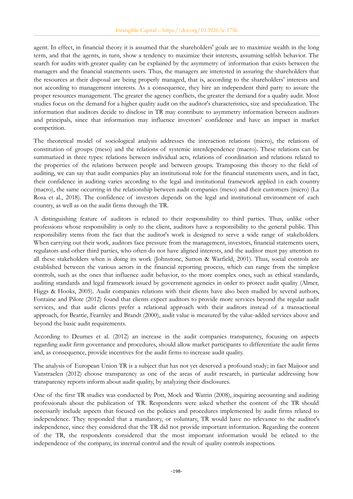agent. In effect, in financial theory it is assumed that the shareholders' goals are to maximize wealth in the long term, and that the agents, in turn, show a tendency to maximize their interests, assuming selfish behavior. The search for audits with greater quality can be explained by the asymmetry of information that exists between the managers and the financial statements users. Thus, the managers are interested in assuring the shareholders that the resources at their disposal are being properly managed, that is, according to the shareholders' interests and not according to management interests. As a consequence, they hire an independent third party to assure the proper resources management. The greater the agency conflicts, the greater the demand for a quality audit. Most studies focus on the demand for a higher quality audit on the auditor's characteristics, size and specialization. The information that auditors decide to disclose in TR may contribute to asymmetry information between auditors and principals, since that information may influence investors' confidence and have an impact in market competition.

The theoretical model of sociological analysis addresses the interaction relations (micro), the relations of constitution of groups (meso) and the relations of systemic interdependence (macro). These relations can be summarized in three types: relations between individual acts, relations of coordination and relations related to the properties of the relations between people and between groups. Transposing this theory to the field of auditing, we can say that audit companies play an institutional role for the financial statements users, and in fact, their confidence in auditing varies according to the legal and institutional framework applied in each country (macro), the same occurring in the relationship between audit companies (meso) and their customers (micro) (La Rosa et al., 2018). The confidence of investors depends on the legal and institutional environment of each country, as well as on the audit firms through the TR.

A distinguishing feature of auditors is related to their responsibility to third parties. Thus, unlike other professions whose responsibility is only to the client, auditors have a responsibility to the general public. This responsibility stems from the fact that the auditor's work is designed to serve a wide range of stakeholders. When carrying out their work, auditors face pressure from the management, investors, financial statements users, regulators and other third parties, who often do not have aligned interests, and the auditor must pay attention to all these stakeholders when is doing its work (Johnstone, Sutton & Warfield, 2001). Thus, social controls are established between the various actors in the financial reporting process, which can range from the simplest controls, such as the ones that influence audit behavior, to the more complex ones, such as ethical standards, auditing standards and legal framework issued by government agencies in order to protect audit quality (Almer, Higgs & Hooks, 2005). Audit companies relations with their clients have also been studied by several authors, Fontaine and Pilote (2012) found that clients expect auditors to provide more services beyond the regular audit services, and that audit clients prefer a relational approach with their auditors instead of a transactional approach, for Beattie, Fearnley and Brandt (2000), audit value is measured by the value-added services above and beyond the basic audit requirements.

According to Deumes et al. (2012) an increase in the audit companies transparency, focusing on aspects regarding audit firm governance and procedures, should allow market participants to differentiate the audit firms and, as consequence, provide incentives for the audit firms to increase audit quality.

The analysis of European Union TR is a subject that has not yet deserved a profound study; in fact Maijoor and Vanstraelen (2012) choose transparency as one of the areas of audit research, in particular addressing how transparency reports inform about audit quality, by analyzing their disclosures.

One of the first TR studies was conducted by Pott, Mock and Watrin (2008), inquiring accounting and auditing professionals about the publication of TR. Respondents were asked whether the content of the TR should necessarily include aspects that focused on the policies and procedures implemented by audit firms related to independence. They responded that a mandatory, or voluntary, TR would have no relevance to the auditor's independence, since they considered that the TR did not provide important information. Regarding the content of the TR, the respondents considered that the most important information would be related to the independence of the company, its internal control and the result of quality controls inspections.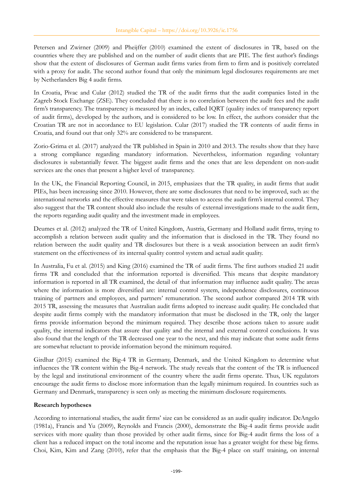Petersen and Zwirner (2009) and Pheijffer (2010) examined the extent of disclosures in TR, based on the countries where they are published and on the number of audit clients that are PIE. The first author's findings show that the extent of disclosures of German audit firms varies from firm to firm and is positively correlated with a proxy for audit. The second author found that only the minimum legal disclosures requirements are met by Netherlanders Big 4 audit firms.

In Croatia, Pivac and Cular (2012) studied the TR of the audit firms that the audit companies listed in the Zagreb Stock Exchange (ZSE). They concluded that there is no correlation between the audit fees and the audit firm's transparency. The transparency is measured by an index, called IQRT (quality index of transparency report of audit firms), developed by the authors, and is considered to be low. In effect, the authors consider that the Croatian TR are not in accordance to EU legislation. Cular (2017) studied the TR contents of audit firms in Croatia, and found out that only 32% are considered to be transparent.

Zorio-Grima et al. (2017) analyzed the TR published in Spain in 2010 and 2013. The results show that they have a strong compliance regarding mandatory information. Nevertheless, information regarding voluntary disclosures is substantially fewer. The biggest audit firms and the ones that are less dependent on non-audit services are the ones that present a higher level of transparency.

In the UK, the Financial Reporting Council, in 2015, emphasizes that the TR quality, in audit firms that audit PIEs, has been increasing since 2010. However, there are some disclosures that need to be improved, such as: the international networks and the effective measures that were taken to access the audit firm's internal control. They also suggest that the TR content should also include the results of external investigations made to the audit firm, the reports regarding audit quality and the investment made in employees.

Deumes et al. (2012) analyzed the TR of United Kingdom, Austria, Germany and Holland audit firms, trying to accomplish a relation between audit quality and the information that is disclosed in the TR. They found no relation between the audit quality and TR disclosures but there is a weak association between an audit firm's statement on the effectiveness of its internal quality control system and actual audit quality.

In Australia, Fu et al. (2015) and King (2016) examined the TR of audit firms. The first authors studied 21 audit firms TR and concluded that the information reported is diversified. This means that despite mandatory information is reported in all TR examined, the detail of that information may influence audit quality. The areas where the information is more diversified are: internal control system, independence disclosures, continuous training of partners and employees, and partners' remuneration. The second author compared 2014 TR with 2015 TR, assessing the measures that Australian audit firms adopted to increase audit quality. He concluded that despite audit firms comply with the mandatory information that must be disclosed in the TR, only the larger firms provide information beyond the minimum required. They describe those actions taken to assure audit quality, the internal indicators that assure that quality and the internal and external control conclusions. It was also found that the length of the TR decreased one year to the next, and this may indicate that some audit firms are somewhat reluctant to provide information beyond the minimum required.

Girdhar (2015) examined the Big-4 TR in Germany, Denmark, and the United Kingdom to determine what influences the TR content within the Big-4 network. The study reveals that the content of the TR is influenced by the legal and institutional environment of the country where the audit firms operate. Thus, UK regulators encourage the audit firms to disclose more information than the legally minimum required. In countries such as Germany and Denmark, transparency is seen only as meeting the minimum disclosure requirements.

### **Research hypotheses**

According to international studies, the audit firms' size can be considered as an audit quality indicator. DeAngelo (1981a), Francis and Yu (2009), Reynolds and Francis (2000), demonstrate the Big-4 audit firms provide audit services with more quality than those provided by other audit firms, since for Big-4 audit firms the loss of a client has a reduced impact on the total income and the reputation issue has a greater weight for these big firms. Choi, Kim, Kim and Zang (2010), refer that the emphasis that the Big-4 place on staff training, on internal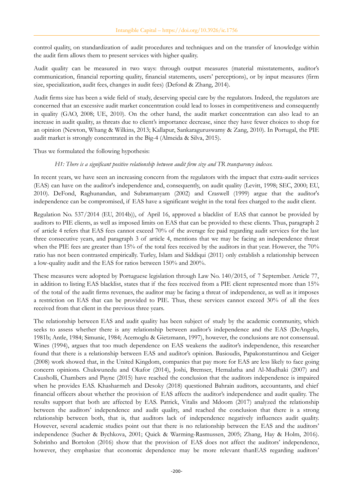control quality, on standardization of audit procedures and techniques and on the transfer of knowledge within the audit firm allows them to present services with higher quality.

Audit quality can be measured in two ways: through output measures (material misstatements, auditor's communication, financial reporting quality, financial statements, users' perceptions), or by input measures (firm size, specialization, audit fees, changes in audit fees) (Defond & Zhang, 2014).

Audit firms size has been a wide field of study, deserving special care by the regulators. Indeed, the regulators are concerned that an excessive audit market concentration could lead to losses in competitiveness and consequently in quality (GAO, 2008; UE, 2010). On the other hand, the audit market concentration can also lead to an increase in audit quality, as threats due to client's importance decrease, since they have fewer choices to shop for an opinion (Newton, Whang & Wilkins, 2013; Kallapur, Sankaraguruswamy & Zang, 2010). In Portugal, the PIE audit market is strongly concentrated in the Big-4 (Almeida & Silva, 2015).

Thus we formulated the following hypothesis:

*H1: There is a significant positive relationship between audit firm size and TR transparency indexes.*

In recent years, we have seen an increasing concern from the regulators with the impact that extra-audit services (EAS) can have on the auditor's independence and, consequently, on audit quality (Levitt, 1998; SEC, 2000; EU, 2010). DeFond, Raghunandan, and Subramanyam (2002) and Craswell (1999) argue that the auditor's independence can be compromised, if EAS have a significant weight in the total fees charged to the audit client.

Regulation No. 537/2014 (EU, 2014b)), of April 16, approved a blacklist of EAS that cannot be provided by auditors to PIE clients, as well as imposed limits on EAS that can be provided to these clients. Thus, paragraph 2 of article 4 refers that EAS fees cannot exceed 70% of the average fee paid regarding audit services for the last three consecutive years, and paragraph 3 of article 4, mentions that we may be facing an independence threat when the PIE fees are greater than 15% of the total fees received by the auditors in that year. However, the 70% ratio has not been contrasted empirically. Turley, Islam and Siddiqui (2011) only establish a relationship between a low-quality audit and the EAS for ratios between 150% and 200%.

These measures were adopted by Portuguese legislation through Law No. 140/2015, of 7 September. Article 77, in addition to listing EAS blacklist, states that if the fees received from a PIE client represented more than 15% of the total of the audit firms revenues, the auditor may be facing a threat of independence, as well as it imposes a restriction on EAS that can be provided to PIE. Thus, these services cannot exceed 30% of all the fees received from that client in the previous three years.

The relationship between EAS and audit quality has been subject of study by the academic community, which seeks to assess whether there is any relationship between auditor's independence and the EAS (DeAngelo, 1981b; Antle, 1984; Simunic, 1984; Acemoglu & Gietzmann, 1997), however, the conclusions are not consensual. Wines (1994), argues that too much dependence on EAS weakens the auditor's independence, this researcher found that there is a relationship between EAS and auditor's opinion. Basioudis, Papakonstantinou and Geiger (2008) work showed that, in the United Kingdom, companies that pay more for EAS are less likely to face going concern opinions. Chukwunedu and Okafor (2014), Joshi, Bremser, Hemalatha and Al-Mudhaki (2007) and Causholli, Chambers and Payne (2015) have reached the conclusion that the auditors independence is impaired when he provides EAS. Khasharmeh and Desoky (2018) questioned Bahrain auditors, accountants, and chief financial officers about whether the provision of EAS affects the auditor's independence and audit quality. The results support that both are affected by EAS. Patrick, Vitalis and Mdoom (2017) analyzed the relationship between the auditors' independence and audit quality, and reached the conclusion that there is a strong relationship between both, that is, that auditors lack of independence negatively influences audit quality. However, several academic studies point out that there is no relationship between the EAS and the auditors' independence (Sucher & Bychkova, 2001; Quick & Warming-Rasmussen, 2005; Zhang, Hay & Holm, 2016). Sobrinho and Bortolon (2016) show that the provision of EAS does not affect the auditors' independence, however, they emphasize that economic dependence may be more relevant than EAS regarding auditors'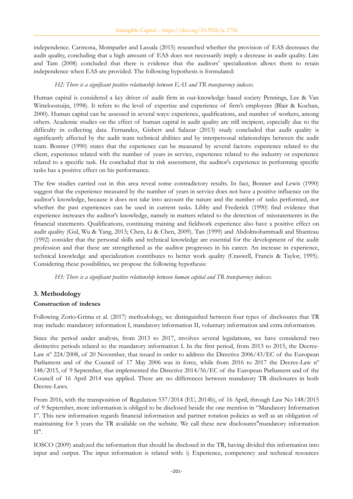independence. Carmona, Momparler and Lassala (2015) researched whether the provision of EAS decreases the audit quality, concluding that a high amount of EAS does not necessarily imply a decrease in audit quality. Lim and Tam (2008) concluded that there is evidence that the auditors' specialization allows them to retain independence when EAS are provided. The following hypothesis is formulated:

### *H2: There is a significant positive relationship between EAS and TR transparency indexes.*

Human capital is considered a key driver of audit firm in our-knowledge based society Pennings, Lee & Van Witteloostuijn, 1998). It refers to the level of expertise and experience of firm's employees (Blair & Kochan, 2000). Human capital can be assessed in several ways: experience, qualifications, and number of workers, among others. Academic studies on the effect of human capital in audit quality are still incipient, especially due to the difficulty in collecting data. Fernandez, Gisbert and Salazar (2013) study concluded that audit quality is significantly affected by the audit team technical abilities and by interpersonal relationships between the audit team. Bonner (1990) states that the experience can be measured by several factors: experience related to the client, experience related with the number of years in service, experience related to the industry or experience related to a specific task. He concluded that in risk assessment, the auditor's experience in performing specific tasks has a positive effect on his performance.

The few studies carried out in this area reveal some contradictory results. In fact, Bonner and Lewis (1990) suggest that the experience measured by the number of years in service does not have a positive influence on the auditor's knowledge, because it does not take into account the nature and the number of tasks performed, nor whether the past experiences can be used in current tasks. Libby and Frederick (1990) find evidence that experience increases the auditor's knowledge, namely in matters related to the detection of misstatements in the financial statements. Qualifications, continuing training and fieldwork experience also have a positive effect on audit quality (Gul, Wu & Yang, 2013; Chen, Li & Chen, 2009). Tan (1999) and Abdolmohammadi and Shanteau (1992) consider that the personal skills and technical knowledge are essential for the development of the audit profession and that these are strengthened as the auditor progresses in his career. An increase in experience, technical knowledge and specialization contributes to better work quality (Craswell, Francis & Taylor, 1995). Considering these possibilities, we propose the following hypothesis:

*H3: There is a significant positive relationship between human capital and TR transparency indexes.*

## **3. Methodology**

## **Construction of indexes**

Following Zorio-Grima et al. (2017) methodology, we distinguished between four types of disclosures that TR may include: mandatory information I, mandatory information II, voluntary information and extra information.

Since the period under analysis, from 2013 to 2017, involves several legislations, we have considered two distinctive periods related to the mandatory information I. In the first period, from 2013 to 2015, the Decree-Law nº 224/2008, of 20 November, that issued in order to address the Directive 2006/43/EC of the European Parliament and of the Council of 17 May 2006 was in force, while from 2016 to 2017 the Decree-Law n° 148/2015, of 9 September, that implemented the Directive 2014/56/EC of the European Parliament and of the Council of 16 April 2014 was applied. There are no differences between mandatory TR disclosures in both Decree-Laws.

From 2016, with the transposition of Regulation 537/2014 (EU, 2014b), of 16 April, through Law No 148/2015 of 9 September, more information is obliged to be disclosed beside the one mention in "Mandatory Information I". This new information regards financial information and partner rotation policies as well as an obligation of maintaining for 5 years the TR available on the website. We call these new disclosures"mandatory information II".

IOSCO (2009) analyzed the information that should be disclosed in the TR, having divided this information into input and output. The input information is related with: i) Experience, competency and technical resources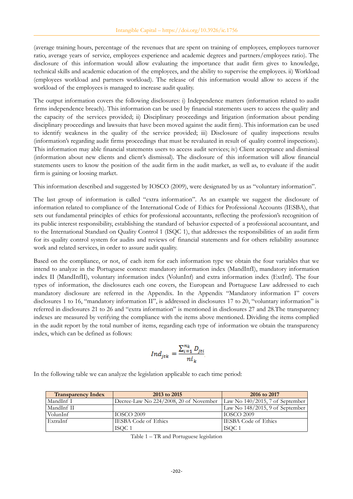(average training hours, percentage of the revenues that are spent on training of employees, employees turnover ratio, average years of service, employees experience and academic degrees and partners/employees ratio). The disclosure of this information would allow evaluating the importance that audit firm gives to knowledge, technical skills and academic education of the employees, and the ability to supervise the employees. ii) Workload (employees workload and partners workload). The release of this information would allow to access if the workload of the employees is managed to increase audit quality.

The output information covers the following disclosures: i) Independence matters (information related to audit firms independence breach). This information can be used by financial statements users to access the quality and the capacity of the services provided; ii) Disciplinary proceedings and litigation (information about pending disciplinary proceedings and lawsuits that have been moved against the audit firm). This information can be used to identify weakness in the quality of the service provided; iii) Disclosure of quality inspections results (information's regarding audit firms proceedings that must be revaluated in result of quality control inspections). This information may able financial statements users to access audit services; iv) Client acceptance and dismissal (information about new clients and client's dismissal). The disclosure of this information will allow financial statements users to know the position of the audit firm in the audit market, as well as, to evaluate if the audit firm is gaining or loosing market.

This information described and suggested by IOSCO (2009), were designated by us as "voluntary information".

The last group of information is called "extra information". As an example we suggest the disclosure of information related to compliance of the International Code of Ethics for Professional Accounts (IESBA), that sets out fundamental principles of ethics for professional accountants, reflecting the profession's recognition of its public interest responsibility, establishing the standard of behavior expected of a professional accountant, and to the International Standard on Quality Control 1 (ISQC 1), that addresses the responsibilities of an audit firm for its quality control system for audits and reviews of financial statements and for others reliability assurance work and related services, in order to assure audit quality.

Based on the compliance, or not, of each item for each information type we obtain the four variables that we intend to analyze in the Portuguese context: mandatory information index (MandInfI), mandatory information index II (MandInfII), voluntary information index (VolunInf) and extra information index (ExtInf). The four types of information, the disclosures each one covers, the European and Portuguese Law addressed to each mandatory disclosure are referred in the Appendix. In the Appendix "Mandatory information I" covers disclosures 1 to 16, "mandatory information II", is addressed in disclosures 17 to 20, "voluntary information" is referred in disclosures 21 to 26 and "extra information" is mentioned in disclosures 27 and 28.The transparency indexes are measured by verifying the compliance with the items above mentioned. Dividing the items complied in the audit report by the total number of items, regarding each type of information we obtain the transparency index, which can be defined as follows:

$$
Ind_{jtk} = \frac{\sum_{i=1}^{n_k} D_{jti}}{ni_k}
$$

In the following table we can analyze the legislation applicable to each time period:

| <b>Transparency Index</b> | 2013 to 2015                           | 2016 to 2017                       |
|---------------------------|----------------------------------------|------------------------------------|
| MandInf I                 | Decree-Law No 224/2008, 20 of November | Law No $140/2015$ , 7 of September |
| MandInf II                |                                        | Law No $148/2015$ , 9 of September |
| VolunInf                  | <b>IOSCO 2009</b>                      | <b>IOSCO 2009</b>                  |
| ExtraInf                  | <b>IESBA Code of Ethics</b>            | <b>IESBA Code of Ethics</b>        |
|                           | ISOC 1                                 | ISOC 1                             |

Table 1 – TR and Portuguese legislation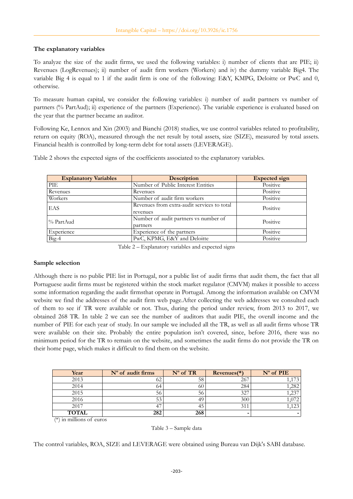### **The explanatory variables**

To analyze the size of the audit firms, we used the following variables: i) number of clients that are PIE; ii) Revenues (LogRevenues); ii) number of audit firm workers (Workers) and iv) the dummy variable Big4. The variable Big 4 is equal to 1 if the audit firm is one of the following: E&Y, KMPG, Deloitte or PwC and 0, otherwise.

To measure human capital, we consider the following variables: i) number of audit partners vs number of partners (% PartAud); ii) experience of the partners (Experience). The variable experience is evaluated based on the year that the partner became an auditor.

Following Ke, Lennox and Xin (2003) and Bianchi (2018) studies, we use control variables related to profitability, return on equity (ROA), measured through the net result by total assets, size (SIZE), measured by total assets. Financial health is controlled by long-term debt for total assets (LEVERAGE).

Table 2 shows the expected signs of the coefficients associated to the explanatory variables.

| <b>Explanatory Variables</b> | <b>Description</b>                                      | <b>Expected</b> sign |
|------------------------------|---------------------------------------------------------|----------------------|
| <b>PIE</b>                   | Number of Public Interest Entities                      | Positive             |
| Revenues                     | Revenues                                                | Positive             |
| Workers                      | Number of audit firm workers                            | Positive             |
| EAS                          | Revenues from extra-audit services to total<br>revenues | Positive             |
| ∣% PartAud                   | Number of audit partners vs number of<br>partners       |                      |
| Experience                   | Experience of the partners                              | Positive             |
| $Big-4$                      | PwC, KPMG, E&Y and Deloitte                             | Positive             |

Table 2 – Explanatory variables and expected signs

#### **Sample selection**

Although there is no public PIE list in Portugal, nor a public list of audit firms that audit them, the fact that all Portuguese audit firms must be registered within the stock market regulator (CMVM) makes it possible to access some information regarding the audit firmsthat operate in Portugal. Among the information available on CMVM website we find the addresses of the audit firm web page.After collecting the web addresses we consulted each of them to see if TR were available or not. Thus, during the period under review, from 2013 to 2017, we obtained 268 TR. In table 2 we can see the number of auditors that audit PIE, the overall income and the number of PIE for each year of study. In our sample we included all the TR, as well as all audit firms whose TR were available on their site. Probably the entire population isn't covered, since, before 2016, there was no minimum period for the TR to remain on the website, and sometimes the audit firms do not provide the TR on their home page, which makes it difficult to find them on the website.

| Year              | $No$ of audit firms | $No$ of TR | $Revenues(*)$ | $No$ of PIE  |
|-------------------|---------------------|------------|---------------|--------------|
| 2013              | 62                  | 58         | 267           |              |
| 2014              | 64                  | 60         | 284           | .282         |
| 2015              | 56                  | 56         | 327           | $23^{\circ}$ |
| 2016              | 53                  | 49         | 300           |              |
| 2017              | 47                  | 45         | 311           | 1,123        |
| <b>TOTAL</b><br>. | 282                 | 268        |               |              |

(\*) in millions of euros

The control variables, ROA, SIZE and LEVERAGE were obtained using Bureau van Dijk's SABI database.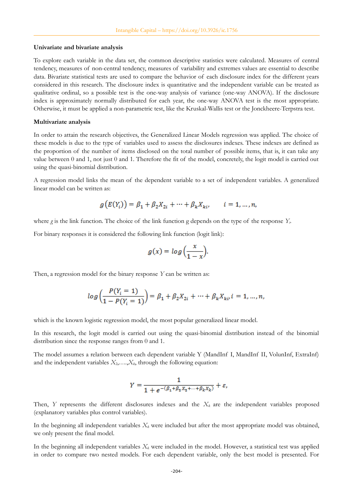#### **Univariate and bivariate analysis**

To explore each variable in the data set, the common descriptive statistics were calculated. Measures of central tendency, measures of non-central tendency, measures of variability and extremes values are essential to describe data. Bivariate statistical tests are used to compare the behavior of each disclosure index for the different years considered in this research. The disclosure index is quantitative and the independent variable can be treated as qualitative ordinal, so a possible test is the one-way analysis of variance (one-way ANOVA). If the disclosure index is approximately normally distributed for each year, the one-way ANOVA test is the most appropriate. Otherwise, it must be applied a non-parametric test, like the Kruskal-Wallis test or the Jonckheere-Terpstra test.

#### **Multivariate analysis**

In order to attain the research objectives, the Generalized Linear Models regression was applied. The choice of these models is due to the type of variables used to assess the disclosures indexes. These indexes are defined as the proportion of the number of items disclosed on the total number of possible items, that is, it can take any value between 0 and 1, not just 0 and 1. Therefore the fit of the model, concretely, the logit model is carried out using the quasi-binomial distribution.

A regression model links the mean of the dependent variable to a set of independent variables. A generalized linear model can be written as:

$$
g(E(Y_i)) = \beta_1 + \beta_2 X_{2i} + \dots + \beta_k X_{ki}, \qquad i = 1, ..., n,
$$

where *g* is the link function. The choice of the link function g depends on the type of the response *Y<sup>i</sup>* .

For binary responses it is considered the following link function (logit link):

$$
g(x) = \log\left(\frac{x}{1-x}\right).
$$

Then, a regression model for the binary response *Y* can be written as:

$$
log\left(\frac{P(Y_i=1)}{1-P(Y_i=1)}\right) = \beta_1 + \beta_2 X_{2i} + \dots + \beta_k X_{ki} i = 1, ..., n,
$$

which is the known logistic regression model, the most popular generalized linear model.

In this research, the logit model is carried out using the quasi-binomial distribution instead of the binomial distribution since the response ranges from 0 and 1.

The model assumes a relation between each dependent variable Y (MandInf I, MandInf II, VolunInf, ExtraInf) and the independent variables  $X_2, \ldots, X_k$ , through the following equation:

$$
Y = \frac{1}{1 + e^{-(\beta_1 + \beta_2 X_2 + \dots + \beta_k X_k)}} + \varepsilon,
$$

Then, *Y* represents the different disclosures indexes and the *Xk* are the independent variables proposed (explanatory variables plus control variables).

In the beginning all independent variables  $X_k$  were included but after the most appropriate model was obtained, we only present the final model.

In the beginning all independent variables  $X_k$  were included in the model. However, a statistical test was applied in order to compare two nested models. For each dependent variable, only the best model is presented. For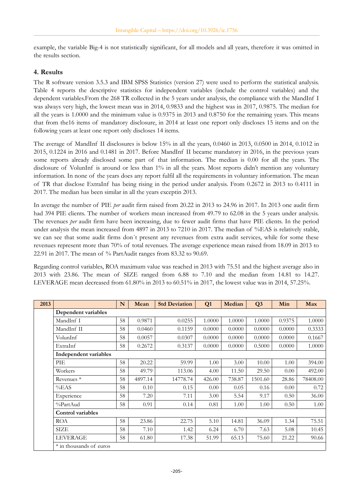example, the variable Big-4 is not statistically significant, for all models and all years, therefore it was omitted in the results section.

## **4. Results**

The R software version 3.5.3 and IBM SPSS Statistics (version 27) were used to perform the statistical analysis. Table 4 reports the descriptive statistics for independent variables (include the control variables) and the dependent variables.From the 268 TR collected in the 5 years under analysis, the compliance with the MandInf I was always very high, the lowest mean was in 2014, 0.9833 and the highest was in 2017, 0.9875. The median for all the years is 1.0000 and the minimum value is 0.9375 in 2013 and 0.8750 for the remaining years. This means that from the16 items of mandatory disclosure, in 2014 at least one report only discloses 15 items and on the following years at least one report only discloses 14 items.

The average of MandInf II disclosures is below 15% in all the years, 0.0460 in 2013, 0.0500 in 2014, 0.1012 in 2015, 0.1224 in 2016 and 0.1481 in 2017. Before MandInf II became mandatory in 2016, in the previous years some reports already disclosed some part of that information. The median is 0.00 for all the years. The disclosure of VolunInf is around or less than 1% in all the years. Most reports didn't mention any voluntary information. In none of the years does any report fulfil all the requirements in voluntary information. The mean of TR that disclose ExtraInf has being rising in the period under analysis. From 0.2672 in 2013 to 0.4111 in 2017. The median has been similar in all the years exceptin 2013.

In average the number of PIE *per* audit firm raised from 20.22 in 2013 to 24.96 in 2017. In 2013 one audit firm had 394 PIE clients. The number of workers mean increased from 49.79 to 62.08 in the 5 years under analysis. The revenues *per* audit firm have been increasing, due to fewer audit firms that have PIE clients. In the period under analysis the mean increased from 4897 in 2013 to 7210 in 2017. The median of %EAS is relatively stable, we can see that some audit firms don´t present any revenues from extra audit services, while for some these revenues represent more than 70% of total revenues. The average experience mean raised from 18.09 in 2013 to 22.91 in 2017. The mean of % PartAudit ranges from 83.32 to 90.69.

Regarding control variables, ROA maximum value was reached in 2013 with 75.51 and the highest average also in 2013 with 23.86. The mean of SIZE ranged from 6.88 to 7.10 and the median from 14.81 to 14.27. LEVERAGE mean decreased from 61.80% in 2013 to 60.51% in 2017, the lowest value was in 2014, 57.25%.

| 2013 |                          | N  | Mean    | <b>Std Deviation</b> | Q1     | Median | Q <sub>3</sub> | Min    | Max      |
|------|--------------------------|----|---------|----------------------|--------|--------|----------------|--------|----------|
|      | Dependent variables      |    |         |                      |        |        |                |        |          |
|      | MandInf I                | 58 | 0.9871  | 0.0255               | 1.0000 | 1.0000 | 1.0000         | 0.9375 | 1.0000   |
|      | MandInf II               | 58 | 0.0460  | 0.1159               | 0.0000 | 0.0000 | 0.0000         | 0.0000 | 0.3333   |
|      | VolunInf                 | 58 | 0.0057  | 0.0307               | 0.0000 | 0.0000 | 0.0000         | 0.0000 | 0.1667   |
|      | ExtraInf                 | 58 | 0.2672  | 0.3137               | 0.0000 | 0.0000 | 0.5000         | 0.0000 | 1.0000   |
|      | Independent variables    |    |         |                      |        |        |                |        |          |
|      | PIE                      | 58 | 20.22   | 59.99                | 1.00   | 3.00   | 10.00          | 1.00   | 394.00   |
|      | Workers                  | 58 | 49.79   | 113.06               | 4.00   | 11.50  | 29.50          | 0.00   | 492.00   |
|      | Revenues <sup>*</sup>    | 58 | 4897.14 | 14778.74             | 426.00 | 738.87 | 1501.60        | 28.86  | 78408.00 |
|      | %EAS                     | 58 | 0.10    | 0.15                 | 0.00   | 0.05   | 0.16           | 0.00   | 0.72     |
|      | Experience               | 58 | 7.20    | 7.11                 | 3.00   | 5.54   | 9.17           | 0.50   | 36.00    |
|      | %PartAud                 | 58 | 0.91    | 0.14                 | 0.81   | 1.00   | 1.00           | 0.50   | 1.00     |
|      | <b>Control</b> variables |    |         |                      |        |        |                |        |          |
|      | <b>ROA</b>               | 58 | 23.86   | 22.75                | 5.10   | 14.81  | 36.09          | 1.34   | 75.51    |
|      | <b>SIZE</b>              | 58 | 7.10    | 1.42                 | 6.24   | 6.70   | 7.63           | 5.08   | 10.45    |
|      | <b>LEVERAGE</b>          | 58 | 61.80   | 17.38                | 51.99  | 65.13  | 75.60          | 21.22  | 90.66    |
|      | * in thousands of euros  |    |         |                      |        |        |                |        |          |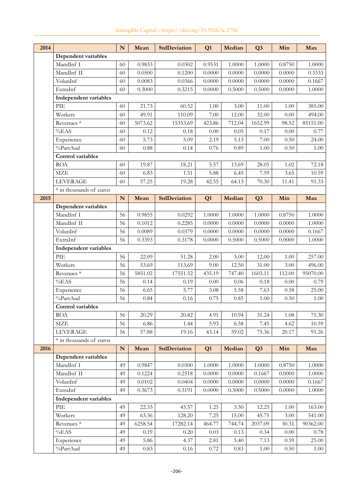| 2014 |                             | ${\bf N}$ | Mean    | <b>StdDeviation</b> | Q1     | Median | Q <sub>3</sub> | Min      | Max        |
|------|-----------------------------|-----------|---------|---------------------|--------|--------|----------------|----------|------------|
|      | Dependent variables         |           |         |                     |        |        |                |          |            |
|      | MandInf I                   | 60        | 0.9833  | 0.0302              | 0.9531 | 1.0000 | 1.0000         | 0.8750   | 1.0000     |
|      | MandInf II                  | 60        | 0.0500  | 0.1200              | 0.0000 | 0.0000 | 0.0000         | 0.0000   | 0.3333     |
|      | VolunInf                    | 60        | 0.0083  | 0.0366              | 0.0000 | 0.0000 | 0.0000         | 0.0000   | 0.1667     |
|      | ExtraInf                    | 60        | 0.3000  | 0.3215              | 0.0000 | 0.5000 | 0.5000         | 0.0000   | 1.0000     |
|      | Independent variables       |           |         |                     |        |        |                |          |            |
|      | PIE                         | 60        | 21.73   | 60.52               | 1.00   | 3.00   | 11.00          | $1.00\,$ | 385.00     |
|      | Workers                     | 60        | 49.91   | 110.09              | 7.00   | 12.00  | 32.00          | $0.00\,$ | 494.00     |
|      | Revenues <sup>*</sup>       | 60        | 5073.62 | 15353.69            | 423.86 | 712.04 | 1652.99        | 98.52    | 85151.00   |
|      | %EAS                        | 60        | 0.12    | 0.18                | 0.00   | 0.05   | 0.17           | $0.00\,$ | 0.77       |
|      | Experience                  | 60        | 5.73    | 5.09                | 2.19   | 5.13   | 7.00           | 0.50     | 24.00      |
|      | %PartAud                    | 60        | 0.88    | 0.14                | 0.76   | 0.89   | 1.00           | 0.50     | $1.00\,$   |
|      | <b>Control variables</b>    |           |         |                     |        |        |                |          |            |
|      | <b>ROA</b>                  | 60        | 19.87   | 18.21               | 5.57   | 13.69  | 28.05          | 1.02     | 72.18      |
|      | <b>SIZE</b>                 | 60        | 6.83    | 1.51                | 5.88   | 6.45   | 7.59           | 3.65     | 10.59      |
|      | <b>LEVERAGE</b>             | 60        | 57.25   | 19.28               | 42.55  | 64.13  | 70.30          | 11.41    | 91.33      |
|      | * in thousands of euros     |           |         |                     |        |        |                |          |            |
| 2015 |                             | N         | Mean    | <b>StdDeviation</b> | Q1     | Median | Q <sub>3</sub> | Min      | Max        |
|      | Dependent variables         |           |         |                     |        |        |                |          |            |
|      | MandInf I                   | 56        | 0.9855  | 0.0292              | 1.0000 | 1.0000 | 1.0000         | 0.8750   | 1.0000     |
|      | MandInf II                  | 56        | 0.1012  | 0.2285              | 0.0000 | 0.0000 | 0.0000         | 0.0000   | 1.0000     |
|      | VolunInf                    | 56        | 0.0089  | 0.0379              | 0.0000 | 0.0000 | 0.0000         | 0.0000   | 0.1667     |
|      | ExtraInf                    | 56        | 0.3393  | 0.3178              | 0.0000 | 0.5000 | 0.5000         | 0.0000   | 1.0000     |
|      | Independent variables       |           |         |                     |        |        |                |          |            |
|      | PIE                         | 56        | 22.09   | 51.28               | 2.00   | 3.00   | 12.00          | 1.00     | 257.00     |
|      | Workers                     | 56        | 53.69   | 113.69              | 9.00   | 12.50  | 31.00          | 3.00     | 496.00     |
|      | Revenues <sup>*</sup>       | 56        | 5851.02 | 17551.52            | 435.19 | 747.40 | 1603.11        | 112.00   | 95070.00   |
|      | %EAS                        | 56        | 0.14    | 0.19                | 0.00   | 0.06   | 0.18           | $0.00\,$ | 0.79       |
|      | Experience                  | 56        | 6.65    | 5.77                | 3.08   | 5.58   | 7.63           | 0.58     | 25.00      |
|      | %PartAud                    | 56        | 0.84    | 0.16                | 0.75   | 0.85   | 1.00           | 0.50     | 1.00       |
|      | Control variables           |           |         |                     |        |        |                |          |            |
|      | <b>ROA</b>                  | 56        | 20.29   | 20.82               | 4.91   | 10.94  | 31.24          | $1.08\,$ | 71.30      |
|      | <b>SIZE</b>                 | 56        | 6.86    | 1.44                | 5.93   | 6.58   | 7.45           | 4.62     | 10.59      |
|      | <b>LEVERAGE</b>             | 56        | 57.88   | 19.16               | 43.14  | 59.02  | 75.36          | 20.17    | 91.26      |
|      | * in thousands of euros     |           |         |                     |        |        |                |          |            |
| 2016 |                             | ${\bf N}$ | Mean    | <b>StdDeviation</b> | Q1     | Median | Q <sub>3</sub> | Min      | Max        |
|      | Dependent variables         |           |         |                     |        |        |                |          |            |
|      | MandInf I                   | 49        | 0.9847  | 0.0300              | 1.0000 | 1.0000 | 1.0000         | 0.8750   | 1.0000     |
|      | MandInf II                  | 49        | 0.1224  | 0.2518              | 0.0000 | 0.0000 | 0.1667         | 0.0000   | 1.0000     |
|      | VolunInf                    | 49        | 0.0102  | 0.0404              | 0.0000 | 0.0000 | 0.0000         | 0.0000   | 0.1667     |
|      | ExtraInf                    | 49        | 0.3673  | 0.3191              | 0.0000 | 0.5000 | 0.5000         | 0.0000   | $1.0000\,$ |
|      | Independent variables       |           |         |                     |        |        |                |          |            |
|      | $\ensuremath{\mathrm{PIE}}$ | 49        | 22.33   | 45.57               | 1.25   | 3.50   | 12.25          | 1.00     | 163.00     |
|      | Workers                     | 49        | 63.36   | 128.20              | 7.25   | 15.00  | 45.75          | 3.00     | 541.00     |
|      | Revenues <sup>*</sup>       | 49        | 6258.54 | 17282.14            | 464.77 | 744.74 | 2037.09        | 30.31    | 90362.00   |
|      | %EAS                        | 49        | 0.19    | 0.20                | 0.03   | 0.13   | 0.34           | 0.00     | 0.78       |
|      | Experience                  | 49        | 5.86    | 4.37                | 2.81   | 5.40   | 7.13           | 0.59     | 25.00      |
|      | %PartAud                    | 49        | 0.83    | 0.16                | 0.72   | 0.83   | $1.00\,$       | 0.50     | 1.00       |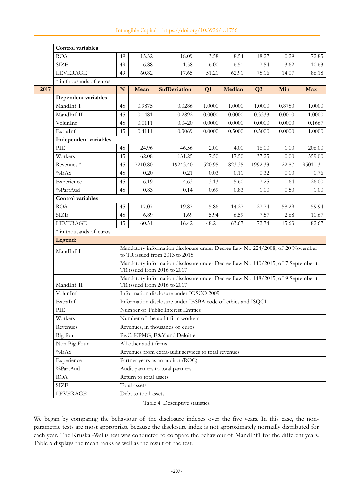|      | Control variables        |           |                        |                                                                                                                 |        |        |                |          |          |
|------|--------------------------|-----------|------------------------|-----------------------------------------------------------------------------------------------------------------|--------|--------|----------------|----------|----------|
|      | <b>ROA</b>               | 49        | 15.32                  | 18.09                                                                                                           | 3.58   | 8.54   | 18.27          | 0.29     | 72.85    |
|      | <b>SIZE</b>              | 49        | 6.88                   | 1.58                                                                                                            | 6.00   | 6.51   | 7.54           | 3.62     | 10.63    |
|      | <b>LEVERAGE</b>          | 49        | 60.82                  | 17.65                                                                                                           | 51.21  | 62.91  | 75.16          | 14.07    | 86.18    |
|      | * in thousands of euros  |           |                        |                                                                                                                 |        |        |                |          |          |
| 2017 |                          | ${\bf N}$ | Mean                   | <b>StdDeviation</b>                                                                                             | Q1     | Median | Q <sub>3</sub> | Min      | Max      |
|      | Dependent variables      |           |                        |                                                                                                                 |        |        |                |          |          |
|      | MandInf I                | 45        | 0.9875                 | 0.0286                                                                                                          | 1.0000 | 1.0000 | 1.0000         | 0.8750   | 1.0000   |
|      | MandInf II               | 45        | 0.1481                 | 0.2892                                                                                                          | 0.0000 | 0.0000 | 0.3333         | 0.0000   | 1.0000   |
|      | VolunInf                 | 45        | 0.0111                 | 0.0420                                                                                                          | 0.0000 | 0.0000 | 0.0000         | 0.0000   | 0.1667   |
|      | ExtraInf                 | 45        | 0.4111                 | 0.3069                                                                                                          | 0.0000 | 0.5000 | 0.5000         | 0.0000   | 1.0000   |
|      | Independent variables    |           |                        |                                                                                                                 |        |        |                |          |          |
|      | PIE                      | 45        | 24.96                  | 46.56                                                                                                           | 2.00   | 4.00   | 16.00          | 1.00     | 206.00   |
|      | Workers                  | 45        | 62.08                  | 131.25                                                                                                          | 7.50   | 17.50  | 37.25          | 0.00     | 559.00   |
|      | Revenues <sup>*</sup>    | 45        | 7210.80                | 19243.40                                                                                                        | 520.95 | 823.35 | 1992.33        | 22.87    | 95010.31 |
|      | %EAS                     | 45        | 0.20                   | 0.21                                                                                                            | 0.03   | 0.11   | 0.32           | 0.00     | 0.76     |
|      | Experience               | 45        | 6.19                   | 4.63                                                                                                            | 3.13   | 5.60   | 7.25           | 0.64     | 26.00    |
|      | %PartAud                 | 45        | 0.83                   | 0.14                                                                                                            | 0.69   | 0.83   | 1.00           | 0.50     | 1.00     |
|      | <b>Control variables</b> |           |                        |                                                                                                                 |        |        |                |          |          |
|      | <b>ROA</b>               | 45        | 17.07                  | 19.87                                                                                                           | 5.86   | 14.27  | 27.74          | $-58.29$ | 59.94    |
|      | <b>SIZE</b>              | 45        | 6.89                   | 1.69                                                                                                            | 5.94   | 6.59   | 7.57           | 2.68     | 10.67    |
|      | <b>LEVERAGE</b>          | 45        | 60.51                  | 16.42                                                                                                           | 48.21  | 63.67  | 72.74          | 15.63    | 82.67    |
|      | * in thousands of euros  |           |                        |                                                                                                                 |        |        |                |          |          |
|      | Legend:                  |           |                        |                                                                                                                 |        |        |                |          |          |
|      | MandInf I                |           |                        | Mandatory information disclosure under Decree Law No 224/2008, of 20 November<br>to TR issued from 2013 to 2015 |        |        |                |          |          |
|      |                          |           |                        | Mandatory information disclosure under Decree Law No 140/2015, of 7 September to<br>TR issued from 2016 to 2017 |        |        |                |          |          |
|      | MandInf II               |           |                        | Mandatory information disclosure under Decree Law No 148/2015, of 9 September to<br>TR issued from 2016 to 2017 |        |        |                |          |          |
|      | VolunInf                 |           |                        | Information disclosure under IOSCO 2009                                                                         |        |        |                |          |          |
|      | ExtraInf                 |           |                        | Information disclosure under IESBA code of ethics and ISQC1                                                     |        |        |                |          |          |
|      | PIE                      |           |                        | Number of Public Interest Entities                                                                              |        |        |                |          |          |
|      | Workers                  |           |                        | Number of the audit firm workers                                                                                |        |        |                |          |          |
|      | Revenues                 |           |                        | Revenues, in thousands of euros                                                                                 |        |        |                |          |          |
|      | Big-four                 |           |                        | PwC, KPMG, E&Y and Deloitte                                                                                     |        |        |                |          |          |
|      | Non Big-Four             |           | All other audit firms  |                                                                                                                 |        |        |                |          |          |
|      | %EAS                     |           |                        | Revenues from extra-audit services to total revenues                                                            |        |        |                |          |          |
|      | Experience               |           |                        | Partner years as an auditor (ROC)                                                                               |        |        |                |          |          |
|      | %PartAud                 |           |                        | Audit partners to total partners                                                                                |        |        |                |          |          |
|      | <b>ROA</b>               |           | Return to total assets |                                                                                                                 |        |        |                |          |          |
|      | <b>SIZE</b>              |           | Total assets           |                                                                                                                 |        |        |                |          |          |
|      | <b>LEVERAGE</b>          |           | Debt to total assets   |                                                                                                                 |        |        |                |          |          |

Table 4. Descriptive statistics

We began by comparing the behaviour of the disclosure indexes over the five years. In this case, the nonparametric tests are most appropriate because the disclosure index is not approximately normally distributed for each year. The Kruskal-Wallis test was conducted to compare the behaviour of MandInf1 for the different years. Table 5 displays the mean ranks as well as the result of the test.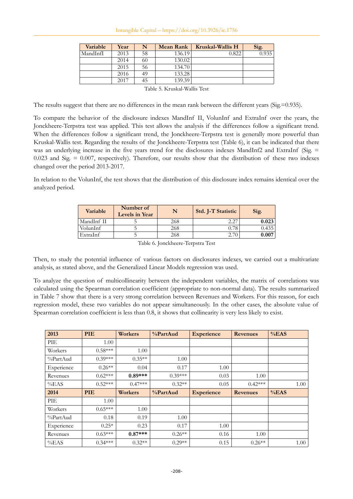| Variable | Year | N  | Mean Rank | Kruskal-Wallis H | Sig.  |
|----------|------|----|-----------|------------------|-------|
| MandInfI | 2013 | 58 | 136.19    | 0.822            | 0.935 |
|          | 2014 | 60 | 130.02    |                  |       |
|          | 2015 | 56 | 134.70    |                  |       |
|          | 2016 | 49 | 133.28    |                  |       |
|          | 2017 | 45 | 139.39    |                  |       |
|          |      |    |           |                  |       |

Table 5. Kruskal-Wallis Test

The results suggest that there are no differences in the mean rank between the different years (Sig.=0.935).

To compare the behavior of the disclosure indexes MandInf II, VolunInf and ExtraInf over the years, the Jonckheere-Terpstra test was applied. This test allows the analysis if the differences follow a significant trend. When the differences follow a significant trend, the Jonckheere-Terpstra test is generally more powerful than Kruskal-Wallis test. Regarding the results of the Jonckheere-Terpstra test (Table 6), it can be indicated that there was an underlying increase in the five years trend for the disclosures indexes MandInf2 and ExtraInf (Sig. = 0.023 and Sig. = 0.007, respectively). Therefore, our results show that the distribution of these two indexes changed over the period 2013-2017.

In relation to the VolunInf, the test shows that the distribution of this disclosure index remains identical over the analyzed period.

| <b>Variable</b> | Number of<br>Levels in Year | N   | <b>Std. J-T Statistic</b> | Sig.      |
|-----------------|-----------------------------|-----|---------------------------|-----------|
| MandInf II      |                             | 268 | 2.27                      | 0.023     |
| VolunInf        |                             | 268 |                           | 0.435     |
| ExtraInf        |                             | 268 |                           | $0.007\,$ |

Table 6. Jonckheere-Terpstra Test

Then, to study the potential influence of various factors on disclosures indexes, we carried out a multivariate analysis, as stated above, and the Generalized Linear Models regression was used.

To analyze the question of multicollinearity between the independent variables, the matrix of correlations was calculated using the Spearman correlation coefficient (appropriate to non-normal data). The results summarized in Table 7 show that there is a very strong correlation between Revenues and Workers. For this reason, for each regression model, these two variables do not appear simultaneously. In the other cases, the absolute value of Spearman correlation coefficient is less than 0.8, it shows that collinearity is very less likely to exist.

| 2013       | <b>PIE</b> | <b>Workers</b> | %PartAud  | <b>Experience</b> | <b>Revenues</b> | %EAS |
|------------|------------|----------------|-----------|-------------------|-----------------|------|
| PIE        | 1.00       |                |           |                   |                 |      |
| Workers    | $0.58***$  | 1.00           |           |                   |                 |      |
| %PartAud   | $0.39***$  | $0.35**$       | 1.00      |                   |                 |      |
| Experience | $0.26**$   | 0.04           | 0.17      | 1.00              |                 |      |
| Revenues   | $0.62***$  | $0.89***$      | $0.39***$ | 0.03              | 1.00            |      |
| %EAS       | $0.52***$  | $0.47***$      | $0.32**$  | 0.05              | $0.42***$       | 1.00 |
|            |            |                |           |                   |                 |      |
| 2014       | <b>PIE</b> | Workers        | %PartAud  | <b>Experience</b> | <b>Revenues</b> | %EAS |
| PIE        | 1.00       |                |           |                   |                 |      |
| Workers    | $0.65***$  | 1.00           |           |                   |                 |      |
| %PartAud   | 0.18       | 0.19           | 1.00      |                   |                 |      |
| Experience | $0.25*$    | 0.23           | 0.17      | 1.00              |                 |      |
| Revenues   | $0.63***$  | $0.87***$      | $0.26**$  | 0.16              | 1.00            |      |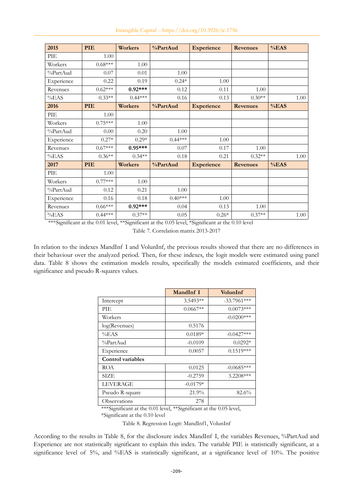| 2015       | PIE       | <b>Workers</b> | %PartAud  | <b>Experience</b> | <b>Revenues</b> | %EAS |
|------------|-----------|----------------|-----------|-------------------|-----------------|------|
| PIE        | 1.00      |                |           |                   |                 |      |
| Workers    | $0.68***$ | 1.00           |           |                   |                 |      |
| %PartAud   | 0.07      | 0.01           | 1.00      |                   |                 |      |
| Experience | 0.22      | 0.19           | $0.24*$   | 1.00              |                 |      |
| Revenues   | $0.62***$ | $0.92***$      | 0.12      | 0.11              | 1.00            |      |
| %EAS       | $0.33**$  | $0.44***$      | 0.16      | 0.13              | $0.30**$        | 1.00 |
| 2016       | PIE       | <b>Workers</b> | %PartAud  | <b>Experience</b> | <b>Revenues</b> | %EAS |
| PIE        | 1.00      |                |           |                   |                 |      |
| Workers    | $0.75***$ | 1.00           |           |                   |                 |      |
| %PartAud   | 0.00      | 0.20           | 1.00      |                   |                 |      |
| Experience | $0.27*$   | $0.29*$        | $0.44***$ | 1.00              |                 |      |
| Revenues   | $0.67***$ | $0.95***$      | 0.07      | 0.17              | 1.00            |      |
| %EAS       | $0.36**$  | $0.34**$       | 0.18      | 0.21              | $0.32**$        | 1.00 |
| 2017       | PIE       | <b>Workers</b> | %PartAud  | <b>Experience</b> | <b>Revenues</b> | %EAS |
| PIE        | 1.00      |                |           |                   |                 |      |
| Workers    | $0.77***$ | 1.00           |           |                   |                 |      |
| %PartAud   | 0.12      | 0.21           | 1.00      |                   |                 |      |
| Experience | 0.16      | 0.18           | $0.40***$ | 1.00              |                 |      |
| Revenues   | $0.66***$ | $0.92***$      | 0.04      | 0.13              | 1.00            |      |
| %EAS       | $0.44***$ | $0.37**$       | 0.05      | $0.26*$           | $0.37**$        | 1.00 |

\*\*\*Significant at the 0.01 level, \*\*Significant at the 0.05 level, \*Significant at the 0.10 level

Table 7. Correlation matrix 2013-2017

In relation to the indexes MandInf I and VolunInf, the previous results showed that there are no differences in their behaviour over the analyzed period. Then, for these indexes, the logit models were estimated using panel data. Table 8 shows the estimation models results, specifically the models estimated coefficients, and their significance and pseudo R-squares values.

|                   | MandInf I  | VolunInf      |
|-------------------|------------|---------------|
| Intercept         | $3.5493**$ | $-33.7961***$ |
| PIE.              | $0.0667**$ | $0.0073***$   |
| Workers           |            | $-0.0200$ *** |
| log(Revenues)     | 0.5176     |               |
| %EAS              | $0.0189*$  | $-0.0427***$  |
| %PartAud          | $-0.0109$  | $0.0292*$     |
| Experience        | 0.0057     | $0.1519***$   |
| Control variables |            |               |
| ROA               | 0.0125     | $-0.0685***$  |
| <b>SIZE</b>       | $-0.2759$  | $3.2208***$   |
| <b>LEVERAGE</b>   | $-0.0179*$ |               |
| Pseudo R-square   | $21.9\%$   | 82.6%         |
| Observations      | 278        |               |

\*\*\*Significant at the 0.01 level, \*\*Significant at the 0.05 level,

\*Significant at the 0.10 level

Table 8. Regression Logit: MandInf1, VolunInf

According to the results in Table 8, for the disclosure index MandInf I, the variables Revenues, %PartAud and Experience are not statistically significant to explain this index. The variable PIE is statistically significant, at a significance level of 5%, and %EAS is statistically significant, at a significance level of 10%. The positive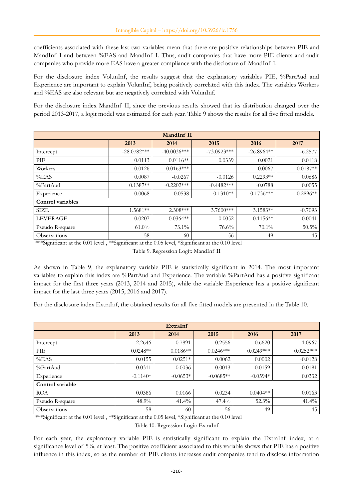coefficients associated with these last two variables mean that there are positive relationships between PIE and MandInf I and between %EAS and MandInf I. Thus, audit companies that have more PIE clients and audit companies who provide more EAS have a greater compliance with the disclosure of MandInf I.

For the disclosure index VolunInf, the results suggest that the explanatory variables PIE, %PartAud and Experience are important to explain VolunInf, being positively correlated with this index. The variables Workers and %EAS are also relevant but are negatively correlated with VolunInf.

For the disclosure index MandInf II, since the previous results showed that its distribution changed over the period 2013-2017, a logit model was estimated for each year. Table 9 shows the results for all five fitted models.

| MandInf II               |               |               |               |              |            |
|--------------------------|---------------|---------------|---------------|--------------|------------|
|                          | 2013          | 2014          | 2015          | 2016         | 2017       |
| Intercept                | $-28.0782***$ | $-40.0036***$ | $-73.0923***$ | $-26.8964**$ | $-6.2577$  |
| PIE                      | 0.0113        | $0.0116**$    | $-0.0339$     | $-0.0021$    | $-0.0118$  |
| Workers                  | $-0.0126$     | $-0.0163***$  |               | 0.0067       | $0.0187**$ |
| %EAS                     | 0.0087        | $-0.0267$     | $-0.0126$     | $0.2293**$   | 0.0686     |
| %PartAud                 | $0.1387**$    | $-0.2202***$  | $-0.4482***$  | $-0.0788$    | 0.0055     |
| Experience               | $-0.0068$     | $-0.0538$     | $0.1310**$    | $0.1736***$  | $0.2896**$ |
| <b>Control</b> variables |               |               |               |              |            |
| <b>SIZE</b>              | $1.5681**$    | $2.308***$    | $3.7600***$   | $3.1583**$   | $-0.7093$  |
| <b>LEVERAGE</b>          | 0.0207        | $0.0364**$    | 0.0052        | $-0.1156**$  | 0.0041     |
| Pseudo R-square          | $61.0\%$      | 73.1%         | 76.6%         | 70.1%        | $50.5\%$   |
| Observations             | 58            | 60            | 56            | 49           | 45         |

\*\*\*Significant at the 0.01 level, \*\*Significant at the 0.05 level, \*Significant at the 0.10 level

Table 9. Regression Logit: MandInf II

As shown in Table 9, the explanatory variable PIE is statistically significant in 2014. The most important variables to explain this index are %PartAud and Experience. The variable %PartAud has a positive significant impact for the first three years (2013, 2014 and 2015), while the variable Experience has a positive significant impact for the last three years (2015, 2016 and 2017).

For the disclosure index ExtraInf, the obtained results for all five fitted models are presented in the Table 10.

| ExtraInf         |            |            |             |             |             |
|------------------|------------|------------|-------------|-------------|-------------|
|                  | 2013       | 2014       | 2015        | 2016        | 2017        |
| Intercept        | $-2.2646$  | $-0.7891$  | $-0.2556$   | $-0.6620$   | $-1.0967$   |
| PIE              | $0.0248**$ | $0.0186**$ | $0.0246***$ | $0.0249***$ | $0.0252***$ |
| %EAS             | 0.0155     | $0.0251*$  | 0.0062      | 0.0002      | $-0.0128$   |
| %PartAud         | 0.0311     | 0.0036     | 0.0013      | 0.0159      | 0.0181      |
| Experience       | $-0.1140*$ | $-0.0653*$ | $-0.0685**$ | $-0.0594*$  | 0.0332      |
| Control variable |            |            |             |             |             |
| <b>ROA</b>       | 0.0386     | 0.0166     | 0.0234      | $0.0404**$  | 0.0163      |
| Pseudo R-square  | 48.9%      | $41.4\%$   | 47.4%       | $52.3\%$    | 41.4%       |
| Observations     | 58         | 60         | 56          | 49          | 45          |

\*\*\*Significant at the 0.01 level , \*\*Significant at the 0.05 level, \*Significant at the 0.10 level

Table 10. Regression Logit: ExtraInf

For each year, the explanatory variable PIE is statistically significant to explain the ExtraInf index, at a significance level of 5%, at least. The positive coefficient associated to this variable shows that PIE has a positive influence in this index, so as the number of PIE clients increases audit companies tend to disclose information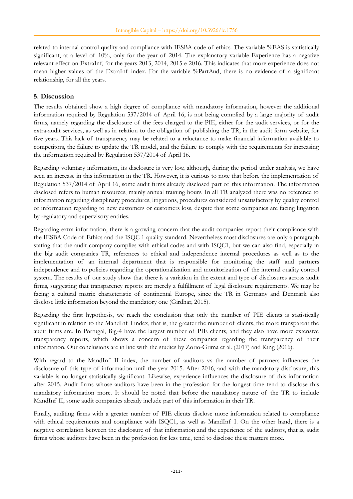related to internal control quality and compliance with IESBA code of ethics. The variable %EAS is statistically significant, at a level of 10%, only for the year of 2014. The explanatory variable Experience has a negative relevant effect on ExtraInf, for the years 2013, 2014, 2015 e 2016. This indicates that more experience does not mean higher values of the ExtraInf index. For the variable %PartAud, there is no evidence of a significant relationship, for all the years.

## **5. Discussion**

The results obtained show a high degree of compliance with mandatory information, however the additional information required by Regulation 537/2014 of April 16, is not being complied by a large majority of audit firms, namely regarding the disclosure of the fees charged to the PIE, either for the audit services, or for the extra-audit services, as well as in relation to the obligation of publishing the TR, in the audit form website, for five years. This lack of transparency may be related to a reluctance to make financial information available to competitors, the failure to update the TR model, and the failure to comply with the requirements for increasing the information required by Regulation 537/2014 of April 16.

Regarding voluntary information, its disclosure is very low, although, during the period under analysis, we have seen an increase in this information in the TR. However, it is curious to note that before the implementation of Regulation 537/2014 of April 16, some audit firms already disclosed part of this information. The information disclosed refers to human resources, mainly annual training hours. In all TR analyzed there was no reference to information regarding disciplinary procedures, litigations, procedures considered unsatisfactory by quality control or information regarding to new customers or customers loss, despite that some companies are facing litigation by regulatory and supervisory entities.

Regarding extra information, there is a growing concern that the audit companies report their compliance with the IESBA Code of Ethics and the ISQC 1 quality standard. Nevertheless most disclosures are only a paragraph stating that the audit company complies with ethical codes and with ISQC1, but we can also find, especially in the big audit companies TR, references to ethical and independence internal procedures as well as to the implementation of an internal department that is responsible for monitoring the staff and partners independence and to policies regarding the operationalization and monitorization of the internal quality control system. The results of our study show that there is a variation in the extent and type of disclosures across audit firms, suggesting that transparency reports are merely a fulfillment of legal disclosure requirements. We may be facing a cultural matrix characteristic of continental Europe, since the TR in Germany and Denmark also disclose little information beyond the mandatory one (Girdhar, 2015).

Regarding the first hypothesis, we reach the conclusion that only the number of PIE clients is statistically significant in relation to the MandInf I index, that is, the greater the number of clients, the more transparent the audit firms are. In Portugal, Big-4 have the largest number of PIE clients, and they also have more extensive transparency reports, which shows a concern of these companies regarding the transparency of their information. Our conclusions are in line with the studies by Zorio-Grima et al. (2017) and King (2016).

With regard to the MandInf II index, the number of auditors vs the number of partners influences the disclosure of this type of information until the year 2015. After 2016, and with the mandatory disclosure, this variable is no longer statistically significant. Likewise, experience influences the disclosure of this information after 2015. Audit firms whose auditors have been in the profession for the longest time tend to disclose this mandatory information more. It should be noted that before the mandatory nature of the TR to include MandInf II, some audit companies already include part of this information in their TR.

Finally, auditing firms with a greater number of PIE clients disclose more information related to compliance with ethical requirements and compliance with ISQC1, as well as MandInf I. On the other hand, there is a negative correlation between the disclosure of that information and the experience of the auditors, that is, audit firms whose auditors have been in the profession for less time, tend to disclose these matters more.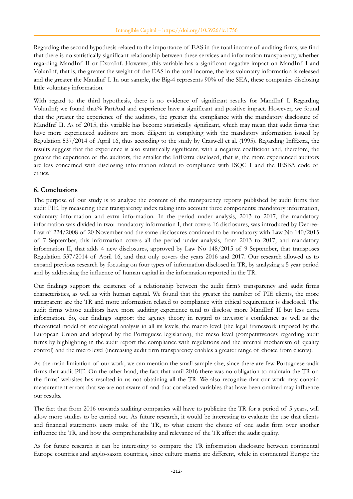Regarding the second hypothesis related to the importance of EAS in the total income of auditing firms, we find that there is no statistically significant relationship between these services and information transparency, whether regarding MandInf II or ExtraInf. However, this variable has a significant negative impact on MandInf I and VolunInf, that is, the greater the weight of the EAS in the total income, the less voluntary information is released and the greater the Mandinf I. In our sample, the Big-4 represents 90% of the SEA, these companies disclosing little voluntary information.

With regard to the third hypothesis, there is no evidence of significant results for MandInf I. Regarding VolunInf; we found that% PartAud and experience have a significant and positive impact. However, we found that the greater the experience of the auditors, the greater the compliance with the mandatory disclosure of MandInf II. As of 2015, this variable has become statistically significant, which may mean that audit firms that have more experienced auditors are more diligent in complying with the mandatory information issued by Regulation 537/2014 of April 16, thus according to the study by Craswell et al. (1995). Regarding InfExtra, the results suggest that the experience is also statistically significant, with a negative coefficient and, therefore, the greater the experience of the auditors, the smaller the InfExtra disclosed, that is, the more experienced auditors are less concerned with disclosing information related to compliance with ISQC 1 and the IESBA code of ethics.

#### **6. Conclusions**

The purpose of our study is to analyze the content of the transparency reports published by audit firms that audit PIE, by measuring their transparency index taking into account three components: mandatory information, voluntary information and extra information. In the period under analysis, 2013 to 2017, the mandatory information was divided in two: mandatory information I, that covers 16 disclosures, was introduced by Decree-Law nº 224/2008 of 20 November and the same disclosures continued to be mandatory with Law No 140/2015 of 7 September, this information covers all the period under analysis, from 2013 to 2017, and mandatory information II, that adds 4 new disclosures, approved by Law No 148/2015 of 9 September, that transposes Regulation 537/2014 of April 16, and that only covers the years 2016 and 2017. Our research allowed us to expand previous research by focusing on four types of information disclosed in TR, by analyzing a 5 year period and by addressing the influence of human capital in the information reported in the TR.

Our findings support the existence of a relationship between the audit firm's transparency and audit firms characteristics, as well as with human capital. We found that the greater the number of PIE clients, the more transparent are the TR and more information related to compliance with ethical requirement is disclosed. The audit firms whose auditors have more auditing experience tend to disclose more MandInf II but less extra information. So, our findings support the agency theory in regard to investor´s confidence as well as the theoretical model of sociological analysis in all its levels, the macro level (the legal framework imposed by the European Union and adopted by the Portuguese legislation), the meso level (competitiveness regarding audit firms by highlighting in the audit report the compliance with regulations and the internal mechanism of quality control) and the micro level (increasing audit firm transparency enables a greater range of choice from clients).

As the main limitation of our work, we can mention the small sample size, since there are few Portuguese audit firms that audit PIE. On the other hand, the fact that until 2016 there was no obligation to maintain the TR on the firms' websites has resulted in us not obtaining all the TR. We also recognize that our work may contain measurement errors that we are not aware of and that correlated variables that have been omitted may influence our results.

The fact that from 2016 onwards auditing companies will have to publicize the TR for a period of 5 years, will allow more studies to be carried out. As future research, it would be interesting to evaluate the use that clients and financial statements users make of the TR, to what extent the choice of one audit firm over another influence the TR, and how the comprehensibility and relevance of the TR affect the audit quality.

As for future research it can be interesting to compare the TR information disclosure between continental Europe countries and anglo-saxon countries, since culture matrix are different, while in continental Europe the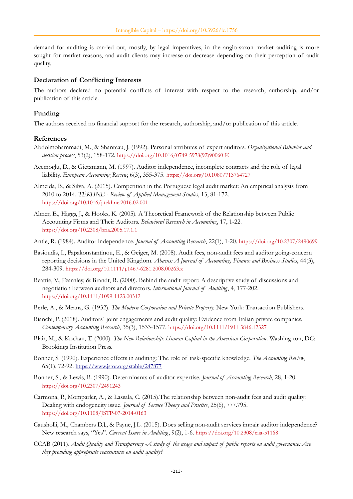demand for auditing is carried out, mostly, by legal imperatives, in the anglo-saxon market auditing is more sought for market reasons, and audit clients may increase or decrease depending on their perception of audit quality.

#### **Declaration of Conflicting Interests**

The authors declared no potential conflicts of interest with respect to the research, authorship, and/or publication of this article.

#### **Funding**

The authors received no financial support for the research, authorship, and/or publication of this article.

#### **References**

- Abdolmohammadi, M., & Shanteau, J. (1992). Personal attributes of expert auditors. *Organizational Behavior and decision process*, 53(2), 158-172. [https://doi.org/10.1016/0749-5978\(92\)90060-K](https://doi.org/10.1016/0749-5978(92)90060-K)
- Acemoglu, D., & Gietzmann, M. (1997). Auditor independence, incomplete contracts and the role of legal liability. *European Accounting Review*, 6(3), 355-375. <https://doi.org/10.1080/713764727>
- Almeida, B., & Silva, A. (2015). Competition in the Portuguese legal audit market: An empirical analysis from 2010 to 2014. *TÉKHNE - Review of Applied Management Studies*, 13, 81-172. <https://doi.org/10.1016/j.tekhne.2016.02.001>
- Almer, E., Higgs, J., & Hooks, K. (2005). A Theoretical Framework of the Relationship between Public Accounting Firms and Their Auditors. *Behavioral Research in Accounting*, 17, 1-22. <https://doi.org/10.2308/bria.2005.17.1.1>
- Antle, R. (1984). Auditor independence. *Journal of Accounting Research*, 22(1), 1-20. <https://doi.org/10.2307/2490699>
- Basioudis, I., Papakonstantinou, E., & Geiger, M. (2008). Audit fees, non-audit fees and auditor going-concern reporting decisions in the United Kingdom. *Abacus: A Journal of Accounting, Finance and Business Studies*, 44(3), 284-309. <https://doi.org/10.1111/j.1467-6281.2008.00263.x>
- Beattie, V., Fearnley, & Brandt, R. (2000). Behind the audit report: A descriptive study of discussions and negotiation between auditors and directors. *International Journal of Auditing*, 4, 177-202. <https://doi.org/10.1111/1099-1123.00312>
- Berle, A., & Means, G. (1932). *The Modern Corporation and Private Property.* New York: Transaction Publishers.
- Bianchi, P. (2018). Auditors´ joint engagements and audit quality: Evidence from Italian private companies. *Contemporary Accounting Research*, 35(3), 1533-1577. <https://doi.org/10.1111/1911-3846.12327>
- Blair, M., & Kochan, T. (2000). *The New Relationship: Human Capital in the American Corporation*. Washing-ton, DC: Brookings Institution Press.
- Bonner, S. (1990). Experience effects in auditing: The role of task-specific knowledge. *The Accounting Review*, 65(1), 72-92. <https://www.jstor.org/stable/247877>
- Bonner, S., & Lewis, B. (1990). Determinants of auditor expertise. *Journal of Accounting Research*, 28, 1-20. <https://doi.org/10.2307/2491243>
- Carmona, P., Momparler, A., & Lassala, C. (2015).The relationship between non-audit fees and audit quality: Dealing with endogeneity issue. *Journal of Service Theory and Practice*, 25(6), 777.795. <https://doi.org/10.1108/JSTP-07-2014-0163>
- Causholli, M., Chambers D.J., & Payne, J.L. (2015). Does selling non-audit services impair auditor independence? New research says, "Yes". *Current Issues in Auditing*, 9(2), 1-6. <https://doi.org/10.2308/ciia-51168>
- CCAB (2011). *Audit Quality and Transparency -A study of the usage and impact of public reports on audit governance: Are they providing appropriate reassurance on audit quality?*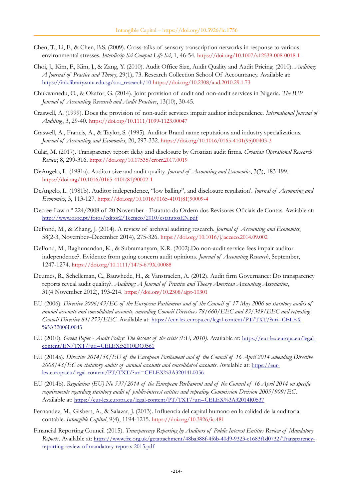- Chen, T., Li, F., & Chen, B.S. (2009). Cross-talks of sensory transcription networks in response to various environmental stresses. *Interdiscip Sci Comput Life Sci*, 1, 46-54. <https://doi.org/10.1007/s12539-008-0018-1>
- Choi, J., Kim, F., Kim, J., & Zang, Y. (2010). Audit Office Size, Audit Quality and Audit Pricing. (2010). *Auditing: A Journal of Practice and Theory*, 29(1), 73. Research Collection School Of Accountancy. Available at: [https://ink.library.smu.edu.sg/soa\\_research/10](https://ink.library.smu.edu.sg/soa_research/10) <https://doi.org/10.2308/aud.2010.29.1.73>
- Chukwunedu, O., & Okafor, G. (2014). Joint provision of audit and non-audit services in Nigeria. *The IUP Journal of Accounting Research and Audit Practices*, 13(10), 30-45.
- Craswell, A. (1999). Does the provision of non-audit services impair auditor independence. *International Journal of Auditing*, 3, 29-40. <https://doi.org/10.1111/1099-1123.00047>
- Craswell, A., Francis, A., & Taylor, S. (1995). Auditor Brand name reputations and industry specializations. *Journal of Accounting and Economics*, 20, 297-332. [https://doi.org/10.1016/0165-4101\(95\)00403-3](https://doi.org/10.1016/0165-4101(95)00403-3)
- Cular, M. (2017). Transparency report delay and disclosure by Croatian audit firms. *Croatian Operational Research Review*, 8, 299-316. <https://doi.org/10.17535/crorr.2017.0019>
- DeAngelo, L. (1981a). Auditor size and audit quality. *Journal of Accounting and Economics*, 3(3), 183-199. [https://doi.org/10.1016/0165-4101\(81\)90002-1](https://doi.org/10.1016/0165-4101(81)90002-1)
- DeAngelo, L. (1981b). Auditor independence, "low balling", and disclosure regulation'. *Journal of Accounting and Economics*, 3, 113-127. [https://doi.org/10.1016/0165-4101\(81\)90009-4](https://doi.org/10.1016/0165-4101(81)90009-4)
- Decree-Law n.º 224/2008 of 20 November Estatuto da Ordem dos Revisores Oficiais de Contas. Avaiable at: <http://www.oroc.pt/fotos/editor2/Tecnico/2010/estatutosEN.pdf>
- DeFond, M., & Zhang, J. (2014). A review of archival auditing research. *Journal of Accounting and Economics*, 58(2-3, November–December 2014), 275-326. <https://doi.org/10.1016/j.jacceco.2014.09.002>
- DeFond, M., Raghunandan, K., & Subramanyam, K.R. (2002).Do non-audit service fees impair auditor independence?. Evidence from going concern audit opinions. *Journal of Accounting Research*, September, 1247-1274. <https://doi.org/10.1111/1475-679X.00088>
- Deumes, R., Schelleman, C., Bauwhede, H., & Vanstraelen, A. (2012). Audit firm Governance: Do transparency reports reveal audit quality?. *Auditing: A Journal of Practice and Theory American Accounting Association*, 31(4 November 2012), 193-214. <https://doi.org/10.2308/ajpt-10301>
- EU (2006). *Directive 2006/43/EC of the European Parliament and of the Council of 17 May 2006 on statutory audits of annual accounts and consolidated accounts, amending Council Directives 78/660/EEC and 83/349/EEC and repealing Council Directive 84/253/EEC*. Available at: [https://eur-lex.europa.eu/legal-content/PT/TXT/?uri=CELEX](https://eur-lex.europa.eu/legal-content/PT/TXT/?uri=CELEX%3A32006L0043) [%3A32006L0043](https://eur-lex.europa.eu/legal-content/PT/TXT/?uri=CELEX%3A32006L0043)
- EU (2010). *Green Paper Audit Policy: The lessons of the crisis (EU, 2010)*. Available at: [https://eur-lex.europa.eu/legal](https://eur-lex.europa.eu/legal-content/EN/TXT/?uri=CELEX:52010DC0561)[content/EN/TXT/?uri=CELEX:52010DC0561](https://eur-lex.europa.eu/legal-content/EN/TXT/?uri=CELEX:52010DC0561)
- EU (2014a). *Directive 2014/56/EU of the European Parliament and of the Council of 16 April 2014 amending Directive 2006/43/EC on statutory audits of annual accounts and consolidated accounts*. Available at: [https://eur](https://eur-lex.europa.eu/legal-content/PT/TXT/?uri=CELEX%3A32014L0056)[lex.europa.eu/legal-content/PT/TXT/?uri=CELEX%3A32014L0056](https://eur-lex.europa.eu/legal-content/PT/TXT/?uri=CELEX%3A32014L0056)
- EU (2014b). *Regulation (EU) No 537/2014 of the European Parliament and of the Council of 16 April 2014 on specific requirements regarding statutory audit of public-interest entities and repealing Commission Decision 2005/909/EC*. Available at: <https://eur-lex.europa.eu/legal-content/PT/TXT/?uri=CELEX%3A32014R0537>
- Fernandez, M., Gisbert, A., & Salazar, J. (2013). Influencia del capital humano en la calidad de la auditoria contable. *Intangible Capital*, 9(4), 1194-1215. <https://doi.org/10.3926/ic.481>
- Financial Reporting Council (2015). *Transparency Reporting by Auditors of Public Interest Entities Review of Mandatory Reports*. Available at: [https://www.frc.org.uk/getattachment/48ba388f-4f6b-40d9-9323-e1683f1d0732/Transparency](https://www.frc.org.uk/getattachment/48ba388f-4f6b-40d9-9323-e1683f1d0732/Transparency-reporting-review-of-mandatory-reports-2015.pdf)[reporting-review-of-mandatory-reports-2015.pdf](https://www.frc.org.uk/getattachment/48ba388f-4f6b-40d9-9323-e1683f1d0732/Transparency-reporting-review-of-mandatory-reports-2015.pdf)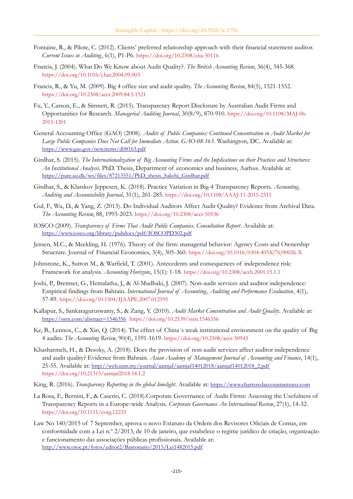- Fontaine, R., & Pilote, C. (2012). Clients' preferred relationship approach with their financial statement auditor. *Current Issues in Auditing*, 6(1), P1-P6. <https://doi.org/10.2308/ciia-50116>
- Francis, J. (2004). What Do We Know about Audit Quality?. *The British Accounting Review*, 36(4), 345-368. <https://doi.org/10.1016/j.bar.2004.09.003>
- Francis, R., & Yu, M. (2009). Big 4 office size and audit quality. *The Accounting Review*, 84(5), 1521-1552. <https://doi.org/10.2308/accr.2009.84.5.1521>
- Fu, Y., Carson, E., & Simnett, R. (2015). Transparency Report Disclosure by Australian Audit Firms and Opportunities for Research. *Managerial Auditing Journal*, 30(8/9), 870-910. [https://doi.org/10.1108/MAJ-06-](https://doi.org/10.1108/MAJ-06-2015-1201) [2015-1201](https://doi.org/10.1108/MAJ-06-2015-1201)
- General Accounting Office (GAO) (2008). *Audits of Public Companies: Continued Concentration in Audit Market for Large Public Companies Does Not Call for Immediate Action. GAO-08-163*. Washington, DC. Available at: <https://www.gao.gov/new.items/d08163.pdf>
- Girdhar, S. (2015). *The Internationalization of Big Accounting Firms and the Implications on their Practices and Structures: An Institutional Analysis*. PhD. Thesis, Department of economics and business, Aarhus. Available at: [https://pure.au.dk/ws/files/87213551/PhD\\_thesis\\_Sakshi\\_Girdhar.pdf](https://pure.au.dk/ws/files/87213551/PhD_thesis_Sakshi_Girdhar.pdf)
- Girdhar, S., & Klarskov Jeppesen, K. (2018). Practice Variation in Big-4 Transparency Reports. *Accounting, Auditing and Accountability Journal*, 31(1), 261-285. <https://doi.org/10.1108/AAAJ-11-2015-2311>
- Gul, F., Wu, D., & Yang, Z. (2013). Do Individual Auditors Affect Audit Quality? Evidence from Archival Data. *The Accounting Review*, 88, 1993-2023. <https://doi.org/10.2308/accr-50536>
- IOSCO (2009). *Transparency of Firms That Audit Public Companies. Consultation Report*. Available at: <https://www.iosco.org/library/pubdocs/pdf/IOSCOPD302.pdf>
- Jensen, M.C., & Meckling, H. (1976). Theory of the firm: managerial behavior: Agency Costs and Ownership Structure. Journal of Financial Economics, 3(4), 305-360. [https://doi.org/10.1016/0304-405X\(76\)90026-X](https://doi.org/10.1016/0304-405X(76)90026-X)
- Johnstone, K., Sutton M., & Warfield, T. (2001). Antecedents and consequences of independence risk: Framework for analysis. *Accounting Horizons*, 15(1): 1-18. <https://doi.org/10.2308/acch.2001.15.1.1>
- Joshi, P., Bremser, G., Hemalatha, J., & Al-Mudhaki, J. (2007). Non-audit services and auditor independence: Empirical findings from Bahrain. *International Journal of Accounting, Auditing and Performance Evaluation*, 4(1), 57-89. <https://doi.org/10.1504/IJAAPE.2007.012595>
- Kallapur, S., Sankaraguruswamy, S., & Zang, Y. (2010). *Audit Market Concentration and Audit Quality*. Available at: <https://ssrn.com/abstract=1546356> <https://doi.org/10.2139/ssrn.1546356>
- Ke, B., Lennox, C., & Xin, Q. (2014). The effect of China´s weak institutional environment on the quality of Big 4 audits. *The Accounting Review*, 90(4), 1591-1619. <https://doi.org/10.2308/accr-50943>
- Khasharmeh, H., & Desoky, A. (2018). Does the provision of non-audit services affect auditor independence and audit quality? Evidence from Bahrain. *Asian Academy of Management Journal of Accounting and Finance*, 14(1), 25-55. Available at: [http://web.usm.my/journal/aamjaf/aamjaf14012018/aamjaf14012018\\_2.pdf](http://web.usm.my/journal/aamjaf/aamjaf14012018/aamjaf14012018_2.pdf) <https://doi.org/10.21315/aamjaf2018.14.1.2>
- King, R. (2016). *Transparency Reporting in the global limelight*. Available at: [https://www.charteredaccountantsanz.com](https://www.charteredaccountantsanz.com/)
- La Rosa, F., Bernini, F., & Caserio, C. (2018).Corporate Governance of Audit Firms: Assessing the Usefulness of Transparency Reports in a Europe-wide Analysis. Corporate Governance An International Review, 27(1), 14-32. <https://doi.org/10.1111/corg.12235>
- Law No 140/2015 of 7 September, aprova o novo Estatuto da Ordem dos Revisores Oficiais de Contas, em conformidade com a Lei n.º 2/2013, de 10 de janeiro, que estabelece o regime jurídico de criação, organização e funcionamento das associações públicas profissionais. Available at: <http://www.oroc.pt/fotos/editor2/Bastonario/2015/Lei1482015.pdf>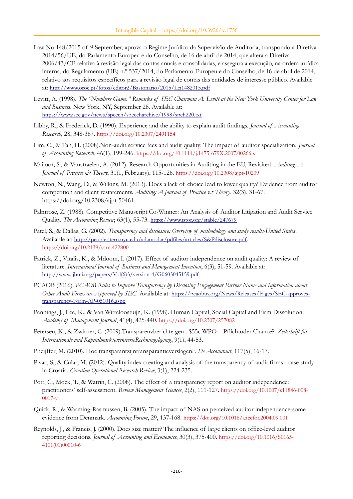- Law No 148/2015 of 9 September, aprova o Regime Jurídico da Supervisão de Auditoria, transpondo a Diretiva 2014/56/UE, do Parlamento Europeu e do Conselho, de 16 de abril de 2014, que altera a Diretiva 2006/43/CE relativa à revisão legal das contas anuais e consolidadas, e assegura a execução, na ordem jurídica interna, do Regulamento (UE) n.º 537/2014, do Parlamento Europeu e do Conselho, de 16 de abril de 2014, relativo aos requisitos específicos para a revisão legal de contas das entidades de interesse público. Available at: <http://www.oroc.pt/fotos/editor2/Bastonario/2015/Lei1482015.pdf>
- Levitt, A. (1998). *The "Numbers Game." Remarks of SEC Chairman A. Levitt at the New York University Center for Law and Business*. New York, NY, September 28. Available at: <https://www.sec.gov/news/speech/speecharchive/1998/spch220.txt>
- Libby, R., & Frederick, D. (1990). Experience and the ability to explain audit findings. *Journal of Accounting Research*, 28, 348-367. <https://doi.org/10.2307/2491154>
- Lim, C., & Tan, H. (2008).Non-audit service fees and audit quality: The impact of auditor specialization. *Journal of Accounting Research*, 46(1), 199-246. <https://doi.org/10.1111/j.1475-679X.2007.00266.x>
- Maijoor, S., & Vanstraelen, A. (2012). Research Opportunities in Auditing in the EU, Revisited- *Auditing: A Journal of Practice & Theory*, 31(1, February), 115-126. <https://doi.org/10.2308/ajpt-10209>
- Newton, N., Wang, D., & Wilkins, M. (2013). Does a lack of choice lead to lower quality? Evidence from auditor competition and client restatements. Auditing: A Journal of Practice & Theory, 32(3), 31-67. https://doi.org/10.2308/ajpt-50461
- Palmrose, Z. (1988). Competitive Manuscript Co-Winner: An Analysis of Auditor Litigation and Audit Service Quality. *The Accounting Review*, 63(1), 55-73. <https://www.jstor.org/stable/247679>
- Patel, S., & Dallas, G. (2002). *Transparency and disclosure: Overview of methodology and study results-United States*. Available at: <http://people.stern.nyu.edu/adamodar/pdfiles/articles/S&Pdisclosure.pdf>. <https://doi.org/10.2139/ssrn.422800>
- Patrick, Z., Vitalis, K., & Mdoom, I. (2017). Effect of auditor independence on audit quality: A review of literature. *International Journal of Business and Management Invention*, 6(3), 51-59. Available at: [http://www.ijbmi.org/papers/Vol\(6\)3/version-4/G0603045159.pdf](http://www.ijbmi.org/papers/Vol(6)3/version-4/G0603045159.pdf)
- PCAOB (2016). *PCAOB Rules to Improve Transparency by Disclosing Engagement Partner Name and Information about Other Audit Firms are Approved by SEC*. Available at: [https://pcaobus.org/News/Releases/Pages/SEC-approves](https://pcaobus.org/News/Releases/Pages/SEC-approves-transparency-Form-AP-051016.aspx)[transparency-Form-AP-051016.aspx](https://pcaobus.org/News/Releases/Pages/SEC-approves-transparency-Form-AP-051016.aspx)
- Pennings, J., Lee, K., & Van Witteloostuijn, K. (1998). Human Capital, Social Capital and Firm Dissolution. *Academy of Management Journal*, 41(4), 425-440. <https://doi.org/10.2307/257082>
- Petersen, K., & Zwirner, C. (2009).Transparenzberichte gem. \$55c WPO Pflichtoder Chance?. *Zeitschrift für Internationale und KapitalmarktorientierteRechnungslegung*, 9(1), 44-53.
- Pheijffer, M. (2010). Hoe transparantzijntransparantieverslagen?. *De Accountant*, 117(5), 16-17.
- Pivac, S., & Cular, M. (2012). Quality index creating and analysis of the transparency of audit firms case study in Croatia. *Croatian Operational Research Review*, 3(1), 224-235.
- Pott, C., Mock, T., & Watrin, C. (2008). The effect of a transparency report on auditor independence: practitioners' self-assessment. *Review Management Sciences*, 2(2), 111-127. [https://doi.org/10.1007/s11846-008-](https://doi.org/10.1007/s11846-008-0017-y) [0017-y](https://doi.org/10.1007/s11846-008-0017-y)
- Quick, R., & Warming-Rasmussen, B. (2005). The impact of NAS on perceived auditor independence-some evidence from Denmark. *Accounting Forum*, 29, 137-168. <https://doi.org/10.1016/j.accfor.2004.09.001>
- Reynolds, J., & Francis, J. (2000). Does size matter? The influence of large clients on office-level auditor reporting decisions. *Journal of Accounting and Economics*, 30(3), 375-400. [https://doi.org/10.1016/S0165-](https://doi.org/10.1016/S0165-4101(01)00010-6) [4101\(01\)00010-6](https://doi.org/10.1016/S0165-4101(01)00010-6)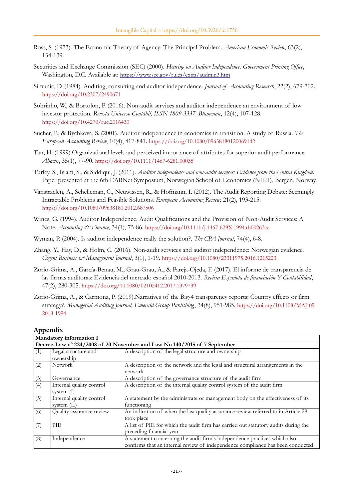- Ross, S. (1973). The Economic Theory of Agency: The Principal Problem. *American Economic Review*, 63(2), 134-139.
- Securities and Exchange Commission (SEC) (2000). *Hearing on Auditor Independence. Government Printing Office*, Washington, D.C. Available at: <https://www.sec.gov/rules/extra/audmin3.htm>
- Simunic, D. (1984). Auditing, consulting and auditor independence. *Journal of Accounting Research*, 22(2), 679-702. <https://doi.org/10.2307/2490671>
- Sobrinho, W., & Bortolon, P. (2016). Non-audit services and auditor independence an environment of low investor protection. *Revista Universo Contábil, ISSN 1809-3337, Blumenau*, 12(4), 107-128. <https://doi.org/10.4270/ruc.2016430>
- Sucher, P., & Bychkova, S. (2001). Auditor independence in economies in transition: A study of Russia. *The European Accounting Review*, 10(4), 817-841. <https://doi.org/10.1080/09638180120069142>
- Tan, H. (1999).Organizational levels and perceived importance of attributes for superior audit performance. *Abacus*, 35(1), 77-90. <https://doi.org/10.1111/1467-6281.00035>
- Turley, S., Islam, S., & Siddiqui, J. (2011). *Auditor independence and non-audit services: Evidence from the United Kingdom*. Paper presented at the 6th EARNet Symposium, Norwegian School of Economics (NHH), Bergen, Norway.
- Vanstraelen, A., Schelleman, C., Neuwissen, R., & Hofmann, I. (2012). The Audit Reporting Debate: Seemingly Intractable Problems and Feasible Solutions. *European Accounting Review,* 21(2), 193-215. <https://doi.org/10.1080/09638180.2012.687506>
- Wines, G. (1994). Auditor Independence, Audit Qualifications and the Provision of Non-Audit Services: A Note. *Accounting & Finance*, 34(1), 75-86. <https://doi.org/10.1111/j.1467-629X.1994.tb00263.x>
- Wyman, P. (2004). Is auditor independence really the solution?. *The CPA Journal*, 74(4), 6-8.
- Zhang, Y., Hay, D., & Holm, C. (2016). Non-audit services and auditor independence: Norwegian evidence. *Cogent Business & Management Journal*, 3(1), 1-19. <https://doi.org/10.1080/23311975.2016.1215223>
- Zorio-Grima, A., García-Benau, M., Grau-Grau, A., & Pareja-Ojeda, F. (2017). El informe de transparencia de las firmas auditoras: Evidencia del mercado español 2010-2013. *Revista Española de financiación Y Contabilidad*, 47(2), 280-305. <https://doi.org/10.1080/02102412.2017.1379799>
- Zorio-Grima, A., & Carmona, P. (2019).Narratives of the Big-4 transparency reports: Country effects or firm strategy?. *Managerial Auditing Journal, Emerald Group Publishing*, 34(8), 951-985. [https://doi.org/10.1108/MAJ-09-](https://doi.org/10.1108/MAJ-09-2018-1994) [2018-1994](https://doi.org/10.1108/MAJ-09-2018-1994)

#### **Appendix**

| Mandatory information I                                                  |                          |                                                                                    |  |  |  |
|--------------------------------------------------------------------------|--------------------------|------------------------------------------------------------------------------------|--|--|--|
| Decree-Law nº 224/2008 of 20 November and Law No 140/2015 of 7 September |                          |                                                                                    |  |  |  |
| (1)                                                                      | Legal structure and      | A description of the legal structure and ownership                                 |  |  |  |
|                                                                          | ownership                |                                                                                    |  |  |  |
| (2)                                                                      | <b>Network</b>           | A description of the network and the legal and structural arrangements in the      |  |  |  |
|                                                                          |                          | network                                                                            |  |  |  |
| (3)                                                                      | Governance               | A description of the governance structure of the audit firm                        |  |  |  |
| (4)                                                                      | Internal quality control | A description of the internal quality control system of the audit firm             |  |  |  |
|                                                                          | system $(I)$             |                                                                                    |  |  |  |
| (5)                                                                      | Internal quality control | A statement by the administrate or management body on the effectiveness of its     |  |  |  |
|                                                                          | system $(II)$            | functioning                                                                        |  |  |  |
| (6)                                                                      | Quality assurance review | An indication of when the last quality assurance review referred to in Article 29  |  |  |  |
|                                                                          |                          | took place                                                                         |  |  |  |
| (7)                                                                      | PIE                      | A list of PIE for which the audit firm has carried out statutory audits during the |  |  |  |
|                                                                          |                          | preceding financial year                                                           |  |  |  |
| (8)                                                                      | Independence             | A statement concerning the audit firm's independence practices which also          |  |  |  |
|                                                                          |                          | confirms that an internal review of independence compliance has been conducted     |  |  |  |